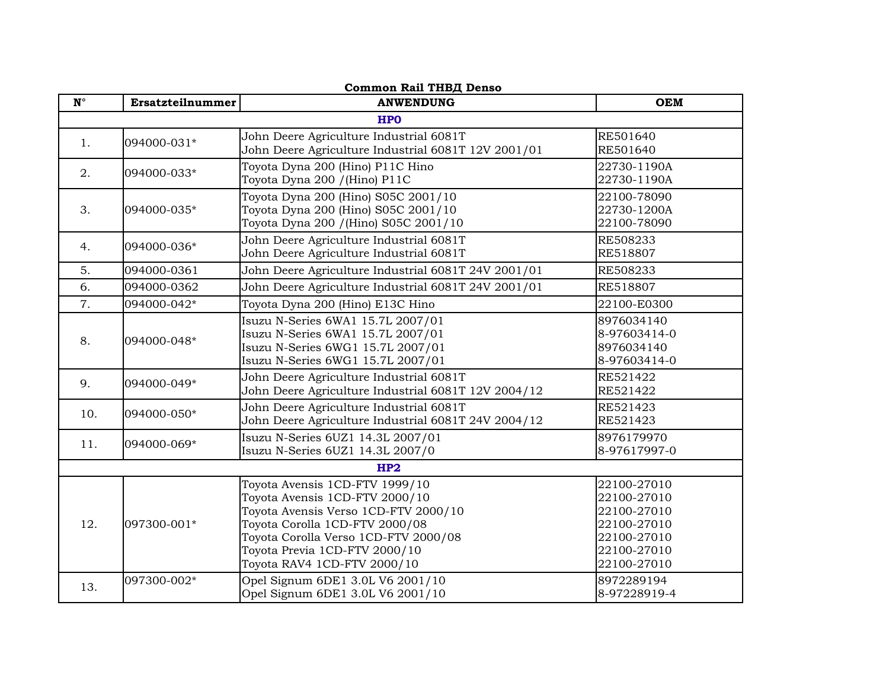| <b>Common Rail ТНВД Denso</b> |                  |                                                                                                                                                                                                                                                    |                                                                                                       |
|-------------------------------|------------------|----------------------------------------------------------------------------------------------------------------------------------------------------------------------------------------------------------------------------------------------------|-------------------------------------------------------------------------------------------------------|
| $\mathbf{N}^\circ$            | Ersatzteilnummer | <b>ANWENDUNG</b>                                                                                                                                                                                                                                   | <b>OEM</b>                                                                                            |
|                               |                  | <b>HPO</b>                                                                                                                                                                                                                                         |                                                                                                       |
| 1.                            | 094000-031*      | John Deere Agriculture Industrial 6081T<br>John Deere Agriculture Industrial 6081T 12V 2001/01                                                                                                                                                     | RE501640<br>RE501640                                                                                  |
| 2.                            | 094000-033*      | Toyota Dyna 200 (Hino) P11C Hino<br>Toyota Dyna 200 / (Hino) P11C                                                                                                                                                                                  | 22730-1190A<br>22730-1190A                                                                            |
| 3.                            | 094000-035*      | Toyota Dyna 200 (Hino) S05C 2001/10<br>Toyota Dyna 200 (Hino) S05C 2001/10<br>Toyota Dyna 200 / (Hino) S05C 2001/10                                                                                                                                | 22100-78090<br>22730-1200A<br>22100-78090                                                             |
| 4.                            | 094000-036*      | John Deere Agriculture Industrial 6081T<br>John Deere Agriculture Industrial 6081T                                                                                                                                                                 | RE508233<br>RE518807                                                                                  |
| 5.                            | 094000-0361      | John Deere Agriculture Industrial 6081T 24V 2001/01                                                                                                                                                                                                | RE508233                                                                                              |
| 6.                            | 094000-0362      | John Deere Agriculture Industrial 6081T 24V 2001/01                                                                                                                                                                                                | RE518807                                                                                              |
| 7.                            | 094000-042*      | Toyota Dyna 200 (Hino) E13C Hino                                                                                                                                                                                                                   | 22100-E0300                                                                                           |
| 8.                            | 094000-048*      | Isuzu N-Series 6WA1 15.7L 2007/01<br>Isuzu N-Series 6WA1 15.7L 2007/01<br>Isuzu N-Series 6WG1 15.7L 2007/01<br>Isuzu N-Series 6WG1 15.7L 2007/01                                                                                                   | 8976034140<br>8-97603414-0<br>8976034140<br>8-97603414-0                                              |
| 9.                            | 094000-049*      | John Deere Agriculture Industrial 6081T<br>John Deere Agriculture Industrial 6081T 12V 2004/12                                                                                                                                                     | RE521422<br>RE521422                                                                                  |
| 10.                           | 094000-050*      | John Deere Agriculture Industrial 6081T<br>John Deere Agriculture Industrial 6081T 24V 2004/12                                                                                                                                                     | RE521423<br>RE521423                                                                                  |
| 11.                           | 094000-069*      | Isuzu N-Series 6UZ1 14.3L 2007/01<br>Isuzu N-Series 6UZ1 14.3L 2007/0                                                                                                                                                                              | 8976179970<br>8-97617997-0                                                                            |
|                               |                  | HP2                                                                                                                                                                                                                                                |                                                                                                       |
| 12.                           | 097300-001*      | Toyota Avensis 1CD-FTV 1999/10<br>Toyota Avensis 1CD-FTV 2000/10<br>Toyota Avensis Verso 1CD-FTV 2000/10<br>Toyota Corolla 1CD-FTV 2000/08<br>Toyota Corolla Verso 1CD-FTV 2000/08<br>Toyota Previa 1CD-FTV 2000/10<br>Toyota RAV4 1CD-FTV 2000/10 | 22100-27010<br>22100-27010<br>22100-27010<br>22100-27010<br>22100-27010<br>22100-27010<br>22100-27010 |
| 13.                           | 097300-002*      | Opel Signum 6DE1 3.0L V6 2001/10<br>Opel Signum 6DE1 3.0L V6 2001/10                                                                                                                                                                               | 8972289194<br>8-97228919-4                                                                            |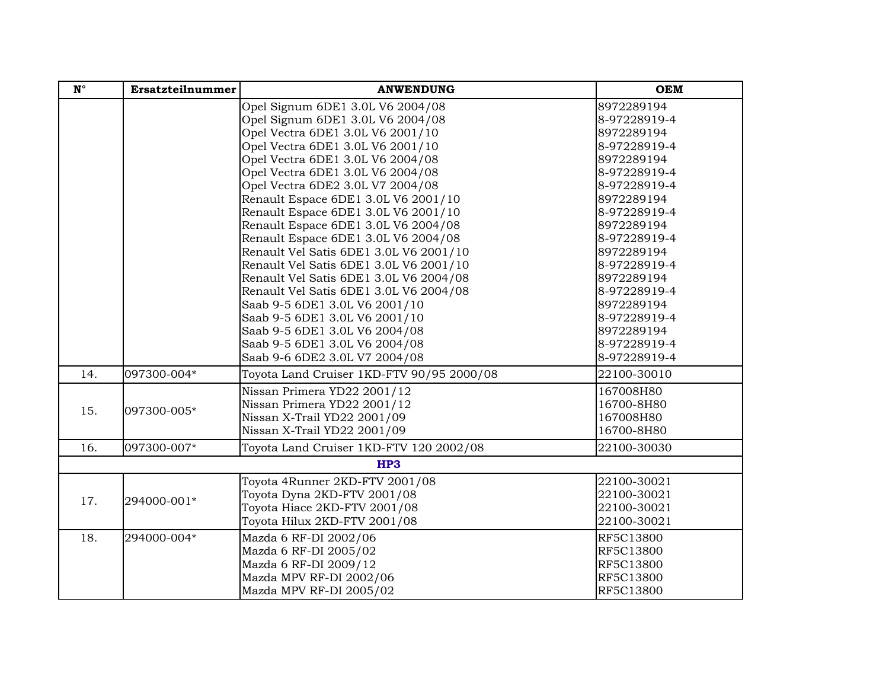| $\mathbf{N}^{\circ}$ | Ersatzteilnummer | <b>ANWENDUNG</b>                          | <b>OEM</b>   |
|----------------------|------------------|-------------------------------------------|--------------|
|                      |                  | Opel Signum 6DE1 3.0L V6 2004/08          | 8972289194   |
|                      |                  | Opel Signum 6DE1 3.0L V6 2004/08          | 8-97228919-4 |
|                      |                  | Opel Vectra 6DE1 3.0L V6 2001/10          | 8972289194   |
|                      |                  | Opel Vectra 6DE1 3.0L V6 2001/10          | 8-97228919-4 |
|                      |                  | Opel Vectra 6DE1 3.0L V6 2004/08          | 8972289194   |
|                      |                  | Opel Vectra 6DE1 3.0L V6 2004/08          | 8-97228919-4 |
|                      |                  | Opel Vectra 6DE2 3.0L V7 2004/08          | 8-97228919-4 |
|                      |                  | Renault Espace 6DE1 3.0L V6 2001/10       | 8972289194   |
|                      |                  | Renault Espace 6DE1 3.0L V6 2001/10       | 8-97228919-4 |
|                      |                  | Renault Espace 6DE1 3.0L V6 2004/08       | 8972289194   |
|                      |                  | Renault Espace 6DE1 3.0L V6 2004/08       | 8-97228919-4 |
|                      |                  | Renault Vel Satis 6DE1 3.0L V6 2001/10    | 8972289194   |
|                      |                  | Renault Vel Satis 6DE1 3.0L V6 2001/10    | 8-97228919-4 |
|                      |                  | Renault Vel Satis 6DE1 3.0L V6 2004/08    | 8972289194   |
|                      |                  | Renault Vel Satis 6DE1 3.0L V6 2004/08    | 8-97228919-4 |
|                      |                  | Saab 9-5 6DE1 3.0L V6 2001/10             | 8972289194   |
|                      |                  | Saab 9-5 6DE1 3.0L V6 2001/10             | 8-97228919-4 |
|                      |                  | Saab 9-5 6DE1 3.0L V6 2004/08             | 8972289194   |
|                      |                  | Saab 9-5 6DE1 3.0L V6 2004/08             | 8-97228919-4 |
|                      |                  | Saab 9-6 6DE2 3.0L V7 2004/08             | 8-97228919-4 |
| 14.                  | 097300-004*      | Toyota Land Cruiser 1KD-FTV 90/95 2000/08 | 22100-30010  |
|                      |                  | Nissan Primera YD22 2001/12               | 167008H80    |
| 15.                  | 097300-005*      | Nissan Primera YD22 2001/12               | 16700-8H80   |
|                      |                  | Nissan X-Trail YD22 2001/09               | 167008H80    |
|                      |                  | Nissan X-Trail YD22 2001/09               | 16700-8H80   |
| 16.                  | 097300-007*      | Toyota Land Cruiser 1KD-FTV 120 2002/08   | 22100-30030  |
|                      |                  | <b>HP3</b>                                |              |
|                      |                  | Toyota 4Runner 2KD-FTV 2001/08            | 22100-30021  |
|                      |                  | Toyota Dyna 2KD-FTV 2001/08               | 22100-30021  |
| 17.                  | 294000-001*      | Toyota Hiace 2KD-FTV 2001/08              | 22100-30021  |
|                      |                  | Toyota Hilux 2KD-FTV 2001/08              | 22100-30021  |
| 18.                  | 294000-004*      | Mazda 6 RF-DI 2002/06                     | RF5C13800    |
|                      |                  | Mazda 6 RF-DI 2005/02                     | RF5C13800    |
|                      |                  | Mazda 6 RF-DI 2009/12                     | RF5C13800    |
|                      |                  | Mazda MPV RF-DI 2002/06                   | RF5C13800    |
|                      |                  | Mazda MPV RF-DI 2005/02                   | RF5C13800    |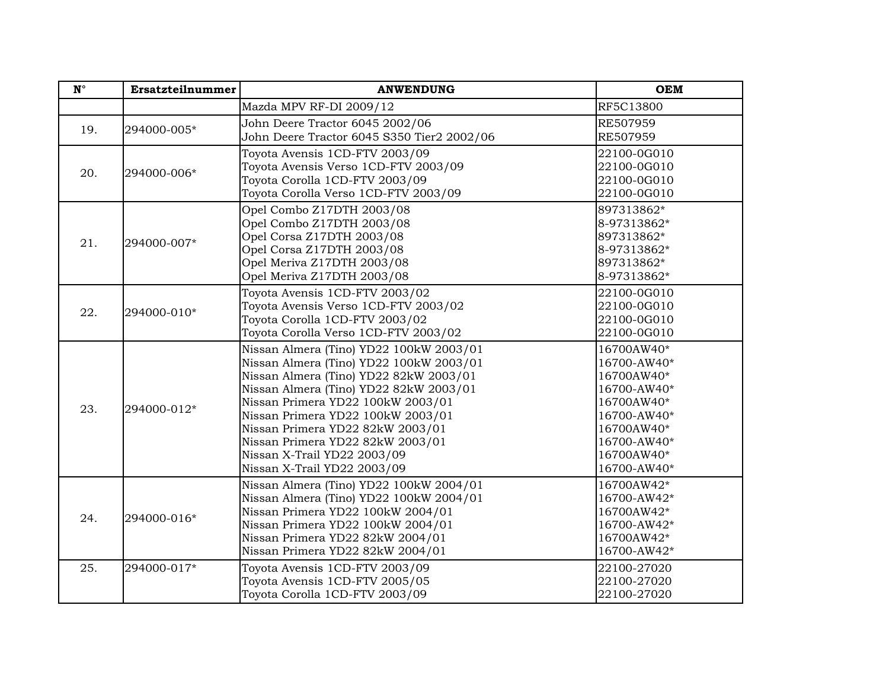| $\mathbf{N}^{\circ}$ | Ersatzteilnummer | <b>ANWENDUNG</b>                                                                                                                                                                                                                                                                                                                                                                       | <b>OEM</b>                                                                                                                                    |
|----------------------|------------------|----------------------------------------------------------------------------------------------------------------------------------------------------------------------------------------------------------------------------------------------------------------------------------------------------------------------------------------------------------------------------------------|-----------------------------------------------------------------------------------------------------------------------------------------------|
|                      |                  | Mazda MPV RF-DI 2009/12                                                                                                                                                                                                                                                                                                                                                                | RF5C13800                                                                                                                                     |
| 19.                  | 294000-005*      | John Deere Tractor 6045 2002/06<br>John Deere Tractor 6045 S350 Tier2 2002/06                                                                                                                                                                                                                                                                                                          | RE507959<br>RE507959                                                                                                                          |
| 20.                  | 294000-006*      | Toyota Avensis 1CD-FTV 2003/09<br>Toyota Avensis Verso 1CD-FTV 2003/09<br>Toyota Corolla 1CD-FTV 2003/09<br>Toyota Corolla Verso 1CD-FTV 2003/09                                                                                                                                                                                                                                       | 22100-0G010<br>22100-0G010<br>22100-0G010<br>22100-0G010                                                                                      |
| 21.                  | 294000-007*      | Opel Combo Z17DTH 2003/08<br>Opel Combo Z17DTH 2003/08<br>Opel Corsa Z17DTH 2003/08<br>Opel Corsa Z17DTH 2003/08<br>Opel Meriva Z17DTH 2003/08<br>Opel Meriva Z17DTH 2003/08                                                                                                                                                                                                           | 897313862*<br>8-97313862*<br>897313862*<br>8-97313862*<br>897313862*<br>8-97313862*                                                           |
| 22.                  | 294000-010*      | Toyota Avensis 1CD-FTV 2003/02<br>Toyota Avensis Verso 1CD-FTV 2003/02<br>Toyota Corolla 1CD-FTV 2003/02<br>Toyota Corolla Verso 1CD-FTV 2003/02                                                                                                                                                                                                                                       | 22100-0G010<br>22100-0G010<br>22100-0G010<br>22100-0G010                                                                                      |
| 23.                  | 294000-012*      | Nissan Almera (Tino) YD22 100kW 2003/01<br>Nissan Almera (Tino) YD22 100kW 2003/01<br>Nissan Almera (Tino) YD22 82kW 2003/01<br>Nissan Almera (Tino) YD22 82kW 2003/01<br>Nissan Primera YD22 100kW 2003/01<br>Nissan Primera YD22 100kW 2003/01<br>Nissan Primera YD22 82kW 2003/01<br>Nissan Primera YD22 82kW 2003/01<br>Nissan X-Trail YD22 2003/09<br>Nissan X-Trail YD22 2003/09 | 16700AW40*<br>16700-AW40*<br>16700AW40*<br>16700-AW40*<br>16700AW40*<br>16700-AW40*<br>16700AW40*<br>16700-AW40*<br>16700AW40*<br>16700-AW40* |
| 24.                  | 294000-016*      | Nissan Almera (Tino) YD22 100kW 2004/01<br>Nissan Almera (Tino) YD22 100kW 2004/01<br>Nissan Primera YD22 100kW 2004/01<br>Nissan Primera YD22 100kW 2004/01<br>Nissan Primera YD22 82kW 2004/01<br>Nissan Primera YD22 82kW 2004/01                                                                                                                                                   | 16700AW42*<br>16700-AW42*<br>16700AW42*<br>16700-AW42*<br>16700AW42*<br>16700-AW42*                                                           |
| 25.                  | 294000-017*      | Toyota Avensis 1CD-FTV 2003/09<br>Toyota Avensis 1CD-FTV 2005/05<br>Toyota Corolla 1CD-FTV 2003/09                                                                                                                                                                                                                                                                                     | 22100-27020<br>22100-27020<br>22100-27020                                                                                                     |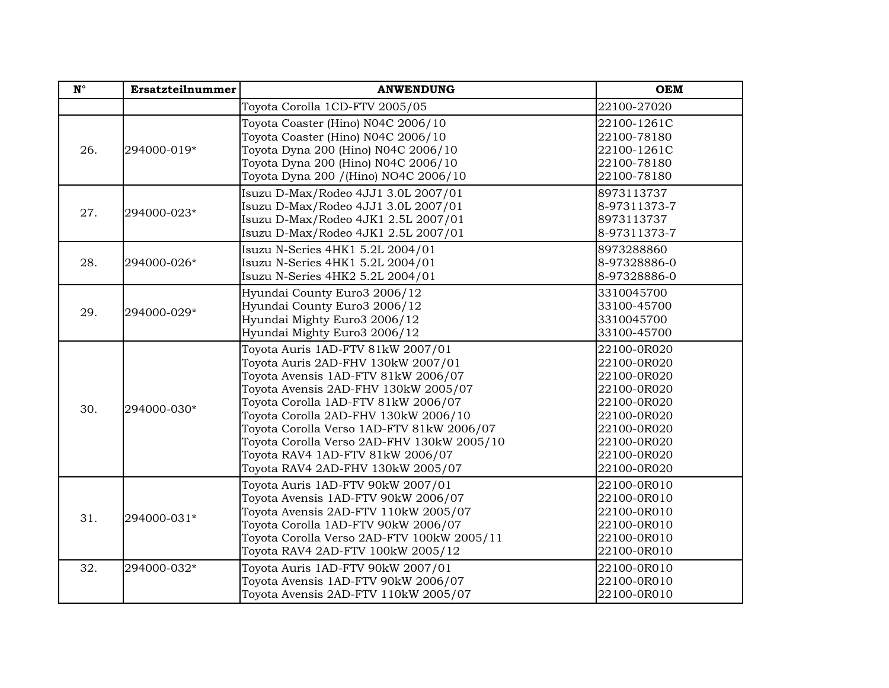| $\mathbf{N}^\circ$ | Ersatzteilnummer | <b>ANWENDUNG</b>                                                                                                                                                                                                                                                                                                                                                                                          | <b>OEM</b>                                                                                                                                         |
|--------------------|------------------|-----------------------------------------------------------------------------------------------------------------------------------------------------------------------------------------------------------------------------------------------------------------------------------------------------------------------------------------------------------------------------------------------------------|----------------------------------------------------------------------------------------------------------------------------------------------------|
|                    |                  | Toyota Corolla 1CD-FTV 2005/05                                                                                                                                                                                                                                                                                                                                                                            | 22100-27020                                                                                                                                        |
| 26.                | 294000-019*      | Toyota Coaster (Hino) N04C 2006/10<br>Toyota Coaster (Hino) N04C 2006/10<br>Toyota Dyna 200 (Hino) N04C 2006/10<br>Toyota Dyna 200 (Hino) N04C 2006/10<br>Toyota Dyna 200 / (Hino) NO4C 2006/10                                                                                                                                                                                                           | 22100-1261C<br>22100-78180<br>22100-1261C<br>22100-78180<br>22100-78180                                                                            |
| 27.                | 294000-023*      | Isuzu D-Max/Rodeo 4JJ1 3.0L 2007/01<br>Isuzu D-Max/Rodeo 4JJ1 3.0L 2007/01<br>Isuzu D-Max/Rodeo 4JK1 2.5L 2007/01<br>Isuzu D-Max/Rodeo 4JK1 2.5L 2007/01                                                                                                                                                                                                                                                  | 8973113737<br>8-97311373-7<br>8973113737<br>8-97311373-7                                                                                           |
| 28.                | 294000-026*      | Isuzu N-Series 4HK1 5.2L 2004/01<br>Isuzu N-Series 4HK1 5.2L 2004/01<br>Isuzu N-Series 4HK2 5.2L 2004/01                                                                                                                                                                                                                                                                                                  | 8973288860<br>8-97328886-0<br>8-97328886-0                                                                                                         |
| 29.                | 294000-029*      | Hyundai County Euro3 2006/12<br>Hyundai County Euro3 2006/12<br>Hyundai Mighty Euro3 2006/12<br>Hyundai Mighty Euro3 2006/12                                                                                                                                                                                                                                                                              | 3310045700<br>33100-45700<br>3310045700<br>33100-45700                                                                                             |
| 30.                | 294000-030*      | Toyota Auris 1AD-FTV 81kW 2007/01<br>Toyota Auris 2AD-FHV 130kW 2007/01<br>Toyota Avensis 1AD-FTV 81kW 2006/07<br>Toyota Avensis 2AD-FHV 130kW 2005/07<br>Toyota Corolla 1AD-FTV 81kW 2006/07<br>Toyota Corolla 2AD-FHV 130kW 2006/10<br>Toyota Corolla Verso 1AD-FTV 81kW 2006/07<br>Toyota Corolla Verso 2AD-FHV 130kW 2005/10<br>Toyota RAV4 1AD-FTV 81kW 2006/07<br>Toyota RAV4 2AD-FHV 130kW 2005/07 | 22100-0R020<br>22100-0R020<br>22100-0R020<br>22100-0R020<br>22100-0R020<br>22100-0R020<br>22100-0R020<br>22100-0R020<br>22100-0R020<br>22100-0R020 |
| 31.                | 294000-031*      | Toyota Auris 1AD-FTV 90kW 2007/01<br>Toyota Avensis 1AD-FTV 90kW 2006/07<br>Toyota Avensis 2AD-FTV 110kW 2005/07<br>Toyota Corolla 1AD-FTV 90kW 2006/07<br>Toyota Corolla Verso 2AD-FTV 100kW 2005/11<br>Toyota RAV4 2AD-FTV 100kW 2005/12                                                                                                                                                                | 22100-0R010<br>22100-0R010<br>22100-0R010<br>22100-0R010<br>22100-0R010<br>22100-0R010                                                             |
| 32.                | 294000-032*      | Toyota Auris 1AD-FTV 90kW 2007/01<br>Toyota Avensis 1AD-FTV 90kW 2006/07<br>Toyota Avensis 2AD-FTV 110kW 2005/07                                                                                                                                                                                                                                                                                          | 22100-0R010<br>22100-0R010<br>22100-0R010                                                                                                          |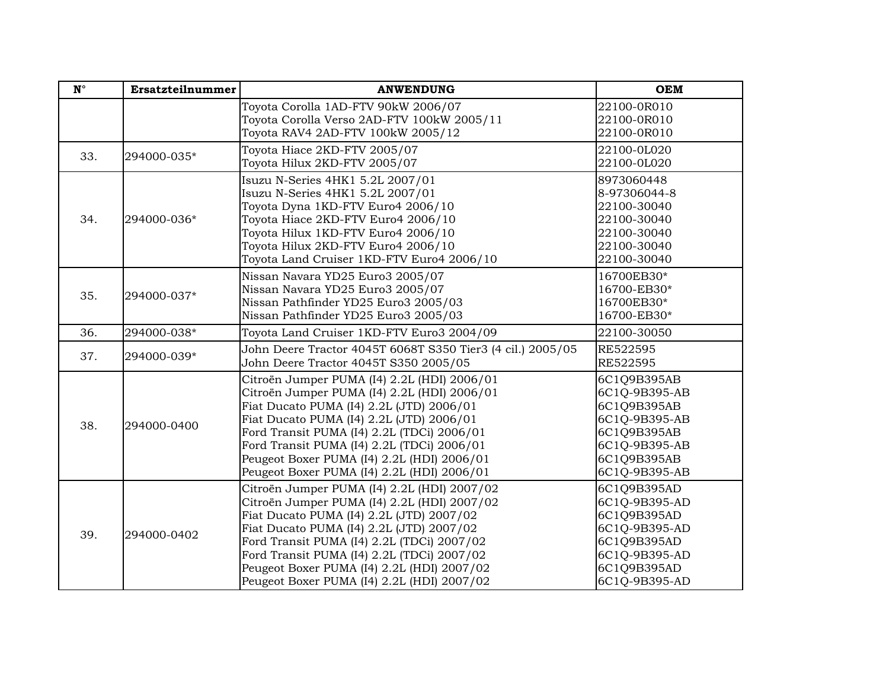| $N^{\circ}$ | Ersatzteilnummer | <b>ANWENDUNG</b>                                                                                                                                                                                                                                                                                                                                                           | <b>OEM</b>                                                                                                                   |
|-------------|------------------|----------------------------------------------------------------------------------------------------------------------------------------------------------------------------------------------------------------------------------------------------------------------------------------------------------------------------------------------------------------------------|------------------------------------------------------------------------------------------------------------------------------|
|             |                  | Toyota Corolla 1AD-FTV 90kW 2006/07<br>Toyota Corolla Verso 2AD-FTV 100kW 2005/11<br>Toyota RAV4 2AD-FTV 100kW 2005/12                                                                                                                                                                                                                                                     | 22100-0R010<br>22100-0R010<br>22100-0R010                                                                                    |
| 33.         | 294000-035*      | Toyota Hiace 2KD-FTV 2005/07<br>Toyota Hilux 2KD-FTV 2005/07                                                                                                                                                                                                                                                                                                               | 22100-0L020<br>22100-0L020                                                                                                   |
| 34.         | 294000-036*      | Isuzu N-Series 4HK1 5.2L 2007/01<br>Isuzu N-Series 4HK1 5.2L 2007/01<br>Toyota Dyna 1KD-FTV Euro4 2006/10<br>Toyota Hiace 2KD-FTV Euro4 2006/10<br>Toyota Hilux 1KD-FTV Euro4 2006/10<br>Toyota Hilux 2KD-FTV Euro4 2006/10<br>Toyota Land Cruiser 1KD-FTV Euro4 2006/10                                                                                                   | 8973060448<br>8-97306044-8<br>22100-30040<br>22100-30040<br>22100-30040<br>22100-30040<br>22100-30040                        |
| 35.         | 294000-037*      | Nissan Navara YD25 Euro3 2005/07<br>Nissan Navara YD25 Euro3 2005/07<br>Nissan Pathfinder YD25 Euro3 2005/03<br>Nissan Pathfinder YD25 Euro3 2005/03                                                                                                                                                                                                                       | 16700EB30*<br>16700-EB30*<br>16700EB30*<br>16700-EB30*                                                                       |
| 36.         | 294000-038*      | Toyota Land Cruiser 1KD-FTV Euro3 2004/09                                                                                                                                                                                                                                                                                                                                  | 22100-30050                                                                                                                  |
| 37.         | 294000-039*      | John Deere Tractor 4045T 6068T S350 Tier3 (4 cil.) 2005/05<br>John Deere Tractor 4045T S350 2005/05                                                                                                                                                                                                                                                                        | RE522595<br>RE522595                                                                                                         |
| 38.         | 294000-0400      | Citroën Jumper PUMA (I4) 2.2L (HDI) 2006/01<br>Citroën Jumper PUMA (I4) 2.2L (HDI) 2006/01<br>Fiat Ducato PUMA (I4) 2.2L (JTD) 2006/01<br>Fiat Ducato PUMA (I4) 2.2L (JTD) 2006/01<br>Ford Transit PUMA (I4) 2.2L (TDCi) 2006/01<br>Ford Transit PUMA (I4) 2.2L (TDCi) 2006/01<br>Peugeot Boxer PUMA (I4) 2.2L (HDI) 2006/01<br>Peugeot Boxer PUMA (I4) 2.2L (HDI) 2006/01 | 6C1Q9B395AB<br>6C1Q-9B395-AB<br>6C1Q9B395AB<br>6C1Q-9B395-AB<br>6C1Q9B395AB<br>6C1Q-9B395-AB<br>6C1Q9B395AB<br>6C1Q-9B395-AB |
| 39.         | 294000-0402      | Citroën Jumper PUMA (I4) 2.2L (HDI) 2007/02<br>Citroën Jumper PUMA (I4) 2.2L (HDI) 2007/02<br>Fiat Ducato PUMA (I4) 2.2L (JTD) 2007/02<br>Fiat Ducato PUMA (I4) 2.2L (JTD) 2007/02<br>Ford Transit PUMA (I4) 2.2L (TDCi) 2007/02<br>Ford Transit PUMA (I4) 2.2L (TDCi) 2007/02<br>Peugeot Boxer PUMA (I4) 2.2L (HDI) 2007/02<br>Peugeot Boxer PUMA (I4) 2.2L (HDI) 2007/02 | 6C1Q9B395AD<br>6C1Q-9B395-AD<br>6C1Q9B395AD<br>6C1Q-9B395-AD<br>6C1Q9B395AD<br>6C1Q-9B395-AD<br>6C1Q9B395AD<br>6C1Q-9B395-AD |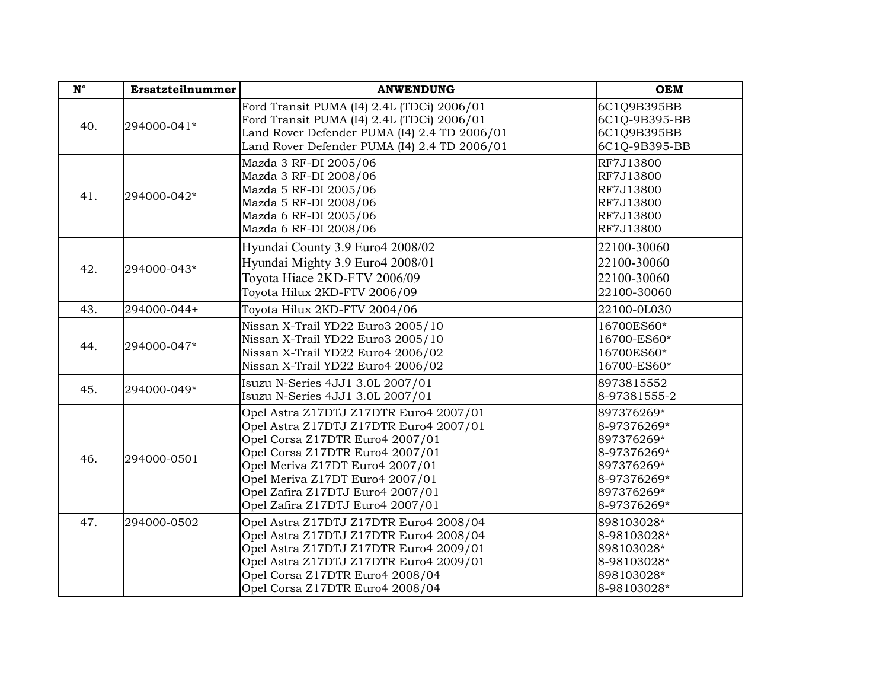| $\mathbf{N}^{\circ}$ | Ersatzteilnummer | <b>ANWENDUNG</b>                                                                                                                                                                                                                                                                                     | <b>OEM</b>                                                                                                       |
|----------------------|------------------|------------------------------------------------------------------------------------------------------------------------------------------------------------------------------------------------------------------------------------------------------------------------------------------------------|------------------------------------------------------------------------------------------------------------------|
| 40.                  | 294000-041*      | Ford Transit PUMA (I4) 2.4L (TDCi) 2006/01<br>Ford Transit PUMA (I4) 2.4L (TDCi) 2006/01<br>Land Rover Defender PUMA (I4) 2.4 TD 2006/01<br>Land Rover Defender PUMA (I4) 2.4 TD 2006/01                                                                                                             | 6C1Q9B395BB<br>6C1Q-9B395-BB<br>6C1Q9B395BB<br>6C1Q-9B395-BB                                                     |
| 41.                  | 294000-042*      | Mazda 3 RF-DI 2005/06<br>Mazda 3 RF-DI 2008/06<br>Mazda 5 RF-DI 2005/06<br>Mazda 5 RF-DI 2008/06<br>Mazda 6 RF-DI 2005/06<br>Mazda 6 RF-DI 2008/06                                                                                                                                                   | RF7J13800<br>RF7J13800<br>RF7J13800<br>RF7J13800<br>RF7J13800<br>RF7J13800                                       |
| 42.                  | 294000-043*      | Hyundai County 3.9 Euro4 2008/02<br>Hyundai Mighty 3.9 Euro4 2008/01<br>Toyota Hiace 2KD-FTV 2006/09<br>Toyota Hilux 2KD-FTV 2006/09                                                                                                                                                                 | 22100-30060<br>22100-30060<br>22100-30060<br>22100-30060                                                         |
| 43.                  | 294000-044+      | Toyota Hilux 2KD-FTV 2004/06                                                                                                                                                                                                                                                                         | 22100-0L030                                                                                                      |
| 44.                  | 294000-047*      | Nissan X-Trail YD22 Euro3 2005/10<br>Nissan X-Trail YD22 Euro3 2005/10<br>Nissan X-Trail YD22 Euro4 2006/02<br>Nissan X-Trail YD22 Euro4 2006/02                                                                                                                                                     | 16700ES60*<br>16700-ES60*<br>16700ES60*<br>16700-ES60*                                                           |
| 45.                  | 294000-049*      | Isuzu N-Series 4JJ1 3.0L 2007/01<br>Isuzu N-Series 4JJ1 3.0L 2007/01                                                                                                                                                                                                                                 | 8973815552<br>8-97381555-2                                                                                       |
| 46.                  | 294000-0501      | Opel Astra Z17DTJ Z17DTR Euro4 2007/01<br>Opel Astra Z17DTJ Z17DTR Euro4 2007/01<br>Opel Corsa Z17DTR Euro4 2007/01<br>Opel Corsa Z17DTR Euro4 2007/01<br>Opel Meriva Z17DT Euro4 2007/01<br>Opel Meriva Z17DT Euro4 2007/01<br>Opel Zafira Z17DTJ Euro4 2007/01<br>Opel Zafira Z17DTJ Euro4 2007/01 | 897376269*<br>8-97376269*<br>897376269*<br>8-97376269*<br>897376269*<br>8-97376269*<br>897376269*<br>8-97376269* |
| 47.                  | 294000-0502      | Opel Astra Z17DTJ Z17DTR Euro4 2008/04<br>Opel Astra Z17DTJ Z17DTR Euro4 2008/04<br>Opel Astra Z17DTJ Z17DTR Euro4 2009/01<br>Opel Astra Z17DTJ Z17DTR Euro4 2009/01<br>Opel Corsa Z17DTR Euro4 2008/04<br>Opel Corsa Z17DTR Euro4 2008/04                                                           | 898103028*<br>8-98103028*<br>898103028*<br>8-98103028*<br>898103028*<br>8-98103028*                              |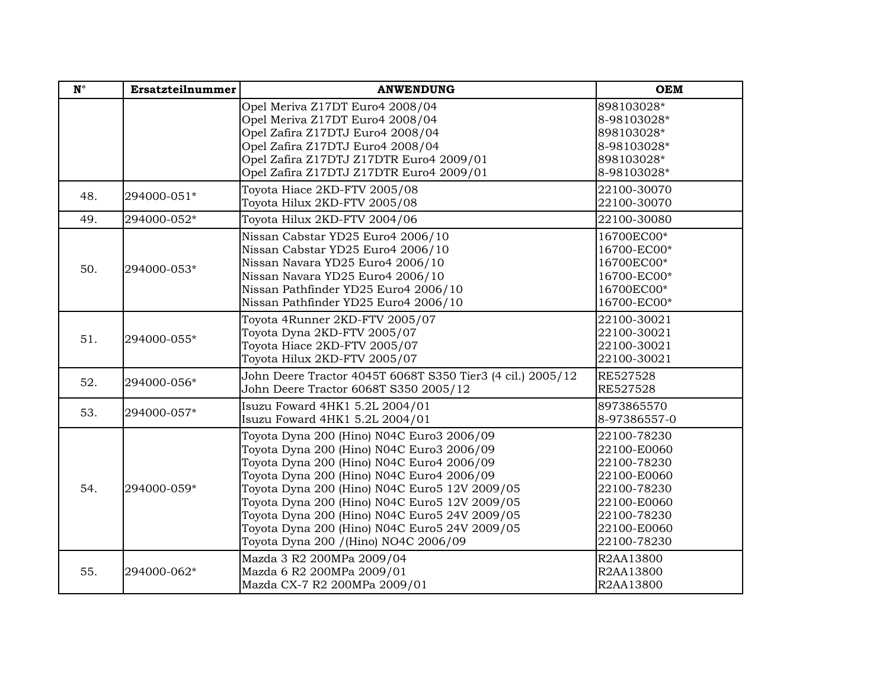| $\mathbf{N}^{\circ}$ | Ersatzteilnummer | <b>ANWENDUNG</b>                                                                                                                                                                                                                                                                                                                                                                                                              | <b>OEM</b>                                                                                                                          |
|----------------------|------------------|-------------------------------------------------------------------------------------------------------------------------------------------------------------------------------------------------------------------------------------------------------------------------------------------------------------------------------------------------------------------------------------------------------------------------------|-------------------------------------------------------------------------------------------------------------------------------------|
|                      |                  | Opel Meriva Z17DT Euro4 2008/04<br>Opel Meriva Z17DT Euro4 2008/04<br>Opel Zafira Z17DTJ Euro4 2008/04<br>Opel Zafira Z17DTJ Euro4 2008/04<br>Opel Zafira Z17DTJ Z17DTR Euro4 2009/01<br>Opel Zafira Z17DTJ Z17DTR Euro4 2009/01                                                                                                                                                                                              | 898103028*<br>8-98103028*<br>898103028*<br>8-98103028*<br>898103028*<br>8-98103028*                                                 |
| 48.                  | 294000-051*      | Toyota Hiace 2KD-FTV 2005/08<br>Toyota Hilux 2KD-FTV 2005/08                                                                                                                                                                                                                                                                                                                                                                  | 22100-30070<br>22100-30070                                                                                                          |
| 49.                  | 294000-052*      | Toyota Hilux 2KD-FTV 2004/06                                                                                                                                                                                                                                                                                                                                                                                                  | 22100-30080                                                                                                                         |
| 50.                  | 294000-053*      | Nissan Cabstar YD25 Euro4 2006/10<br>Nissan Cabstar YD25 Euro4 2006/10<br>Nissan Navara YD25 Euro4 2006/10<br>Nissan Navara YD25 Euro4 2006/10<br>Nissan Pathfinder YD25 Euro4 2006/10<br>Nissan Pathfinder YD25 Euro4 2006/10                                                                                                                                                                                                | 16700EC00*<br>16700-EC00*<br>16700EC00*<br>16700-EC00*<br>16700EC00*<br>16700-EC00*                                                 |
| 51.                  | 294000-055*      | Toyota 4Runner 2KD-FTV 2005/07<br>Toyota Dyna 2KD-FTV 2005/07<br>Toyota Hiace 2KD-FTV 2005/07<br>Toyota Hilux 2KD-FTV 2005/07                                                                                                                                                                                                                                                                                                 | 22100-30021<br>22100-30021<br>22100-30021<br>22100-30021                                                                            |
| 52.                  | 294000-056*      | John Deere Tractor 4045T 6068T S350 Tier3 (4 cil.) 2005/12<br>John Deere Tractor 6068T S350 2005/12                                                                                                                                                                                                                                                                                                                           | RE527528<br>RE527528                                                                                                                |
| 53.                  | 294000-057*      | Isuzu Foward 4HK1 5.2L 2004/01<br>Isuzu Foward 4HK1 5.2L 2004/01                                                                                                                                                                                                                                                                                                                                                              | 8973865570<br>8-97386557-0                                                                                                          |
| 54.                  | 294000-059*      | Toyota Dyna 200 (Hino) N04C Euro3 2006/09<br>Toyota Dyna 200 (Hino) N04C Euro3 2006/09<br>Toyota Dyna 200 (Hino) N04C Euro4 2006/09<br>Toyota Dyna 200 (Hino) N04C Euro4 2006/09<br>Toyota Dyna 200 (Hino) N04C Euro5 12V 2009/05<br>Toyota Dyna 200 (Hino) N04C Euro5 12V 2009/05<br>Toyota Dyna 200 (Hino) N04C Euro5 24V 2009/05<br>Toyota Dyna 200 (Hino) N04C Euro5 24V 2009/05<br>Toyota Dyna 200 / (Hino) NO4C 2006/09 | 22100-78230<br>22100-E0060<br>22100-78230<br>22100-E0060<br>22100-78230<br>22100-E0060<br>22100-78230<br>22100-E0060<br>22100-78230 |
| 55.                  | 294000-062*      | Mazda 3 R2 200MPa 2009/04<br>Mazda 6 R2 200MPa 2009/01<br>Mazda CX-7 R2 200MPa 2009/01                                                                                                                                                                                                                                                                                                                                        | R2AA13800<br>R2AA13800<br>R2AA13800                                                                                                 |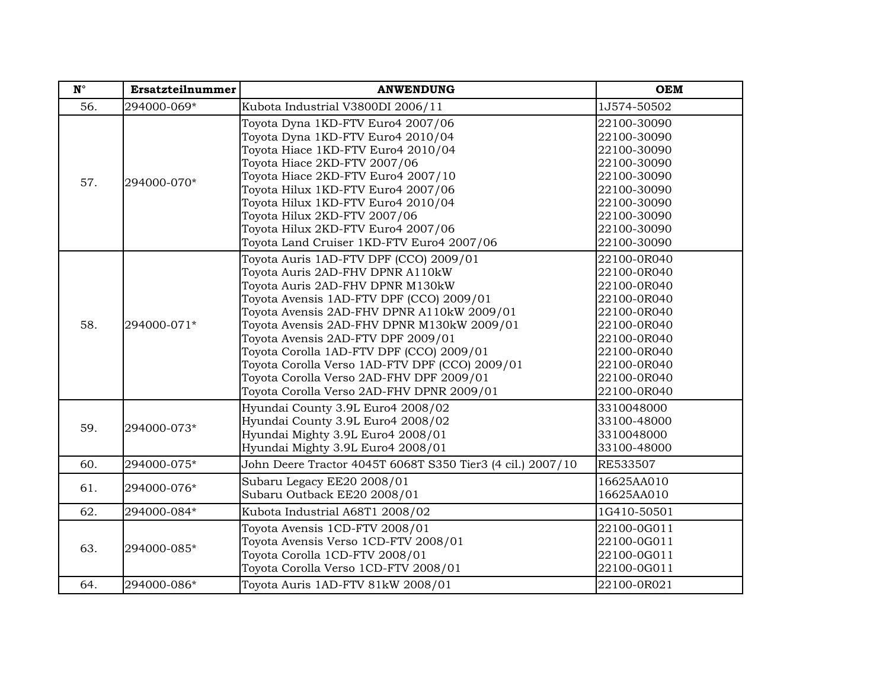| $\mathbf{N}^\circ$ | Ersatzteilnummer | <b>ANWENDUNG</b>                                                                                                                                                                                                                                                                                                                                                                                                                                                                    | <b>OEM</b>                                                                                                                                                        |
|--------------------|------------------|-------------------------------------------------------------------------------------------------------------------------------------------------------------------------------------------------------------------------------------------------------------------------------------------------------------------------------------------------------------------------------------------------------------------------------------------------------------------------------------|-------------------------------------------------------------------------------------------------------------------------------------------------------------------|
| 56.                | 294000-069*      | Kubota Industrial V3800DI 2006/11                                                                                                                                                                                                                                                                                                                                                                                                                                                   | 1J574-50502                                                                                                                                                       |
| 57.                | 294000-070*      | Toyota Dyna 1KD-FTV Euro4 2007/06<br>Toyota Dyna 1KD-FTV Euro4 2010/04<br>Toyota Hiace 1KD-FTV Euro4 2010/04<br>Toyota Hiace 2KD-FTV 2007/06<br>Toyota Hiace 2KD-FTV Euro4 2007/10<br>Toyota Hilux 1KD-FTV Euro4 2007/06<br>Toyota Hilux 1KD-FTV Euro4 2010/04<br>Toyota Hilux 2KD-FTV 2007/06<br>Toyota Hilux 2KD-FTV Euro4 2007/06<br>Toyota Land Cruiser 1KD-FTV Euro4 2007/06                                                                                                   | 22100-30090<br>22100-30090<br>22100-30090<br>22100-30090<br>22100-30090<br>22100-30090<br>22100-30090<br>22100-30090<br>22100-30090<br>22100-30090                |
| 58.                | 294000-071*      | Toyota Auris 1AD-FTV DPF (CCO) 2009/01<br>Toyota Auris 2AD-FHV DPNR A110kW<br>Toyota Auris 2AD-FHV DPNR M130kW<br>Toyota Avensis 1AD-FTV DPF (CCO) 2009/01<br>Toyota Avensis 2AD-FHV DPNR A110kW 2009/01<br>Toyota Avensis 2AD-FHV DPNR M130kW 2009/01<br>Toyota Avensis 2AD-FTV DPF 2009/01<br>Toyota Corolla 1AD-FTV DPF (CCO) 2009/01<br>Toyota Corolla Verso 1AD-FTV DPF (CCO) 2009/01<br>Toyota Corolla Verso 2AD-FHV DPF 2009/01<br>Toyota Corolla Verso 2AD-FHV DPNR 2009/01 | 22100-0R040<br>22100-0R040<br>22100-0R040<br>22100-0R040<br>22100-0R040<br>22100-0R040<br>22100-0R040<br>22100-0R040<br>22100-0R040<br>22100-0R040<br>22100-0R040 |
| 59.                | 294000-073*      | Hyundai County 3.9L Euro4 2008/02<br>Hyundai County 3.9L Euro4 2008/02<br>Hyundai Mighty 3.9L Euro4 2008/01<br>Hyundai Mighty 3.9L Euro4 2008/01                                                                                                                                                                                                                                                                                                                                    | 3310048000<br>33100-48000<br>3310048000<br>33100-48000                                                                                                            |
| 60.                | 294000-075*      | John Deere Tractor 4045T 6068T S350 Tier3 (4 cil.) 2007/10                                                                                                                                                                                                                                                                                                                                                                                                                          | <b>RE533507</b>                                                                                                                                                   |
| 61.                | 294000-076*      | Subaru Legacy EE20 2008/01<br>Subaru Outback EE20 2008/01                                                                                                                                                                                                                                                                                                                                                                                                                           | 16625AA010<br>16625AA010                                                                                                                                          |
| 62.                | 294000-084*      | Kubota Industrial A68T1 2008/02                                                                                                                                                                                                                                                                                                                                                                                                                                                     | 1G410-50501                                                                                                                                                       |
| 63.                | 294000-085*      | Toyota Avensis 1CD-FTV 2008/01<br>Toyota Avensis Verso 1CD-FTV 2008/01<br>Toyota Corolla 1CD-FTV 2008/01<br>Toyota Corolla Verso 1CD-FTV 2008/01                                                                                                                                                                                                                                                                                                                                    | 22100-0G011<br>22100-0G011<br>22100-0G011<br>22100-0G011                                                                                                          |
| 64.                | 294000-086*      | Toyota Auris 1AD-FTV 81kW 2008/01                                                                                                                                                                                                                                                                                                                                                                                                                                                   | 22100-0R021                                                                                                                                                       |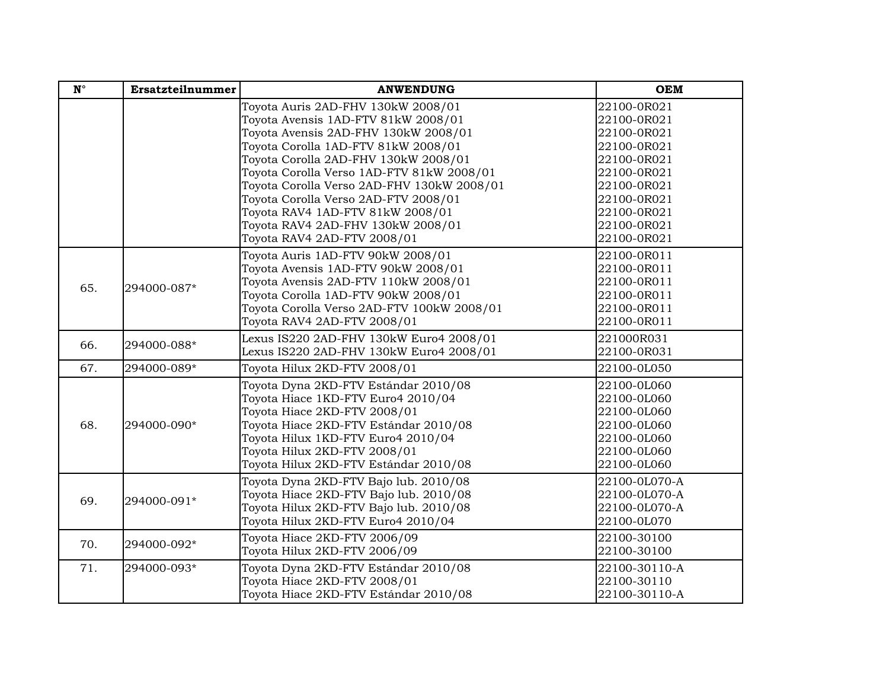| $\mathbf{N}^{\circ}$ | Ersatzteilnummer | <b>ANWENDUNG</b>                                                                                                                                                                                                                                                                                                       | <b>OEM</b>                                                                                                           |
|----------------------|------------------|------------------------------------------------------------------------------------------------------------------------------------------------------------------------------------------------------------------------------------------------------------------------------------------------------------------------|----------------------------------------------------------------------------------------------------------------------|
|                      |                  | Toyota Auris 2AD-FHV 130kW 2008/01<br>Toyota Avensis 1AD-FTV 81kW 2008/01<br>Toyota Avensis 2AD-FHV 130kW 2008/01                                                                                                                                                                                                      | 22100-0R021<br>22100-0R021<br>22100-0R021                                                                            |
|                      |                  | Toyota Corolla 1AD-FTV 81kW 2008/01<br>Toyota Corolla 2AD-FHV 130kW 2008/01<br>Toyota Corolla Verso 1AD-FTV 81kW 2008/01<br>Toyota Corolla Verso 2AD-FHV 130kW 2008/01<br>Toyota Corolla Verso 2AD-FTV 2008/01<br>Toyota RAV4 1AD-FTV 81kW 2008/01<br>Toyota RAV4 2AD-FHV 130kW 2008/01<br>Toyota RAV4 2AD-FTV 2008/01 | 22100-0R021<br>22100-0R021<br>22100-0R021<br>22100-0R021<br>22100-0R021<br>22100-0R021<br>22100-0R021<br>22100-0R021 |
| 65.                  | 294000-087*      | Toyota Auris 1AD-FTV 90kW 2008/01<br>Toyota Avensis 1AD-FTV 90kW 2008/01<br>Toyota Avensis 2AD-FTV 110kW 2008/01<br>Toyota Corolla 1AD-FTV 90kW 2008/01<br>Toyota Corolla Verso 2AD-FTV 100kW 2008/01<br>Toyota RAV4 2AD-FTV 2008/01                                                                                   | 22100-0R011<br>22100-0R011<br>22100-0R011<br>22100-0R011<br>22100-0R011<br>22100-0R011                               |
| 66.                  | 294000-088*      | Lexus IS220 2AD-FHV 130kW Euro4 2008/01<br>Lexus IS220 2AD-FHV 130kW Euro4 2008/01                                                                                                                                                                                                                                     | 221000R031<br>22100-0R031                                                                                            |
| 67.                  | 294000-089*      | Toyota Hilux 2KD-FTV 2008/01                                                                                                                                                                                                                                                                                           | 22100-0L050                                                                                                          |
| 68.                  | 294000-090*      | Toyota Dyna 2KD-FTV Estándar 2010/08<br>Toyota Hiace 1KD-FTV Euro4 2010/04<br>Toyota Hiace 2KD-FTV 2008/01<br>Toyota Hiace 2KD-FTV Estándar 2010/08<br>Toyota Hilux 1KD-FTV Euro4 2010/04<br>Toyota Hilux 2KD-FTV 2008/01<br>Toyota Hilux 2KD-FTV Estándar 2010/08                                                     | 22100-0L060<br>22100-0L060<br>22100-0L060<br>22100-0L060<br>22100-0L060<br>22100-0L060<br>22100-0L060                |
| 69.                  | 294000-091*      | Toyota Dyna 2KD-FTV Bajo lub. 2010/08<br>Toyota Hiace 2KD-FTV Bajo lub. 2010/08<br>Toyota Hilux 2KD-FTV Bajo lub. 2010/08<br>Toyota Hilux 2KD-FTV Euro4 2010/04                                                                                                                                                        | 22100-0L070-A<br>22100-0L070-A<br>22100-0L070-A<br>22100-0L070                                                       |
| 70.                  | 294000-092*      | Toyota Hiace 2KD-FTV 2006/09<br>Toyota Hilux 2KD-FTV 2006/09                                                                                                                                                                                                                                                           | 22100-30100<br>22100-30100                                                                                           |
| 71.                  | 294000-093*      | Toyota Dyna 2KD-FTV Estándar 2010/08<br>Toyota Hiace 2KD-FTV 2008/01<br>Toyota Hiace 2KD-FTV Estándar 2010/08                                                                                                                                                                                                          | 22100-30110-A<br>22100-30110<br>22100-30110-A                                                                        |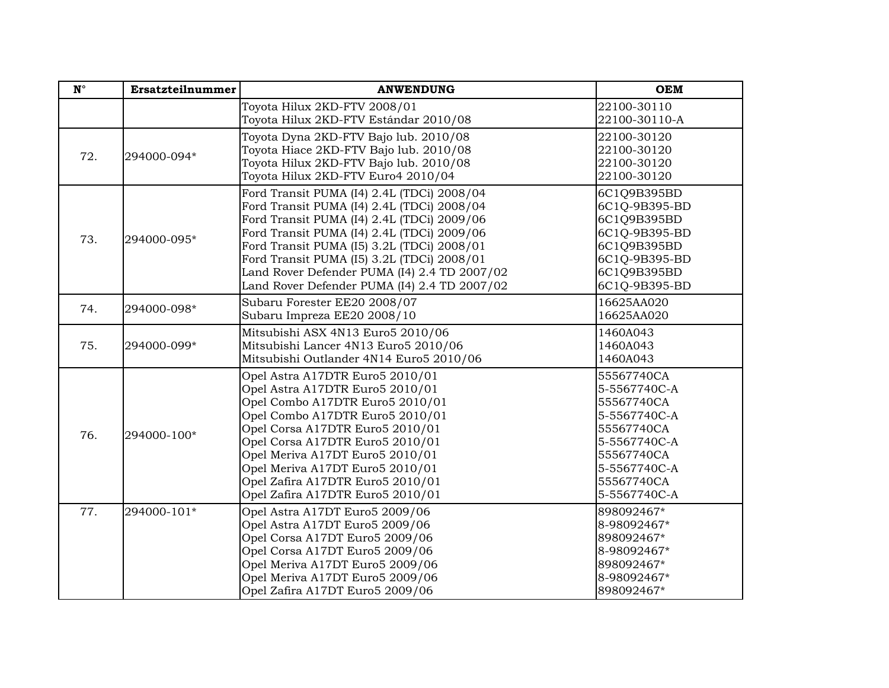| $\mathbf{N}^{\circ}$ | Ersatzteilnummer | <b>ANWENDUNG</b>                                                                                                                                                                                                                                                                                                                                                                 | <b>OEM</b>                                                                                                                                         |
|----------------------|------------------|----------------------------------------------------------------------------------------------------------------------------------------------------------------------------------------------------------------------------------------------------------------------------------------------------------------------------------------------------------------------------------|----------------------------------------------------------------------------------------------------------------------------------------------------|
|                      |                  | Toyota Hilux 2KD-FTV 2008/01<br>Toyota Hilux 2KD-FTV Estándar 2010/08                                                                                                                                                                                                                                                                                                            | 22100-30110<br>22100-30110-A                                                                                                                       |
| 72.                  | 294000-094*      | Toyota Dyna 2KD-FTV Bajo lub. 2010/08<br>Toyota Hiace 2KD-FTV Bajo lub. 2010/08<br>Toyota Hilux 2KD-FTV Bajo lub. 2010/08<br>Toyota Hilux 2KD-FTV Euro4 2010/04                                                                                                                                                                                                                  | 22100-30120<br>22100-30120<br>22100-30120<br>22100-30120                                                                                           |
| 73.                  | 294000-095*      | Ford Transit PUMA (I4) 2.4L (TDCi) 2008/04<br>Ford Transit PUMA (I4) 2.4L (TDCi) 2008/04<br>Ford Transit PUMA (I4) 2.4L (TDCi) 2009/06<br>Ford Transit PUMA (I4) 2.4L (TDCi) 2009/06<br>Ford Transit PUMA (I5) 3.2L (TDCi) 2008/01<br>Ford Transit PUMA (I5) 3.2L (TDCi) 2008/01<br>Land Rover Defender PUMA (I4) 2.4 TD 2007/02<br>Land Rover Defender PUMA (I4) 2.4 TD 2007/02 | 6C1Q9B395BD<br>6C1Q-9B395-BD<br>6C1Q9B395BD<br>6C1Q-9B395-BD<br>6C1Q9B395BD<br>6C1Q-9B395-BD<br>6C1Q9B395BD<br>6C1Q-9B395-BD                       |
| 74.                  | 294000-098*      | Subaru Forester EE20 2008/07<br>Subaru Impreza EE20 2008/10                                                                                                                                                                                                                                                                                                                      | 16625AA020<br>16625AA020                                                                                                                           |
| 75.                  | 294000-099*      | Mitsubishi ASX 4N13 Euro5 2010/06<br>Mitsubishi Lancer 4N13 Euro5 2010/06<br>Mitsubishi Outlander 4N14 Euro5 2010/06                                                                                                                                                                                                                                                             | 1460A043<br>1460A043<br>1460A043                                                                                                                   |
| 76.                  | 294000-100*      | Opel Astra A17DTR Euro5 2010/01<br>Opel Astra A17DTR Euro5 2010/01<br>Opel Combo A17DTR Euro5 2010/01<br>Opel Combo A17DTR Euro5 2010/01<br>Opel Corsa A17DTR Euro5 2010/01<br>Opel Corsa A17DTR Euro5 2010/01<br>Opel Meriva A17DT Euro5 2010/01<br>Opel Meriva A17DT Euro5 2010/01<br>Opel Zafira A17DTR Euro5 2010/01<br>Opel Zafira A17DTR Euro5 2010/01                     | 55567740CA<br>5-5567740C-A<br>55567740CA<br>5-5567740C-A<br>55567740CA<br>5-5567740C-A<br>55567740CA<br>5-5567740C-A<br>55567740CA<br>5-5567740C-A |
| 77.                  | 294000-101*      | Opel Astra A17DT Euro5 2009/06<br>Opel Astra A17DT Euro5 2009/06<br>Opel Corsa A17DT Euro5 2009/06<br>Opel Corsa A17DT Euro5 2009/06<br>Opel Meriva A17DT Euro5 2009/06<br>Opel Meriva A17DT Euro5 2009/06<br>Opel Zafira A17DT Euro5 2009/06                                                                                                                                    | 898092467*<br>8-98092467*<br>898092467*<br>8-98092467*<br>898092467*<br>8-98092467*<br>898092467*                                                  |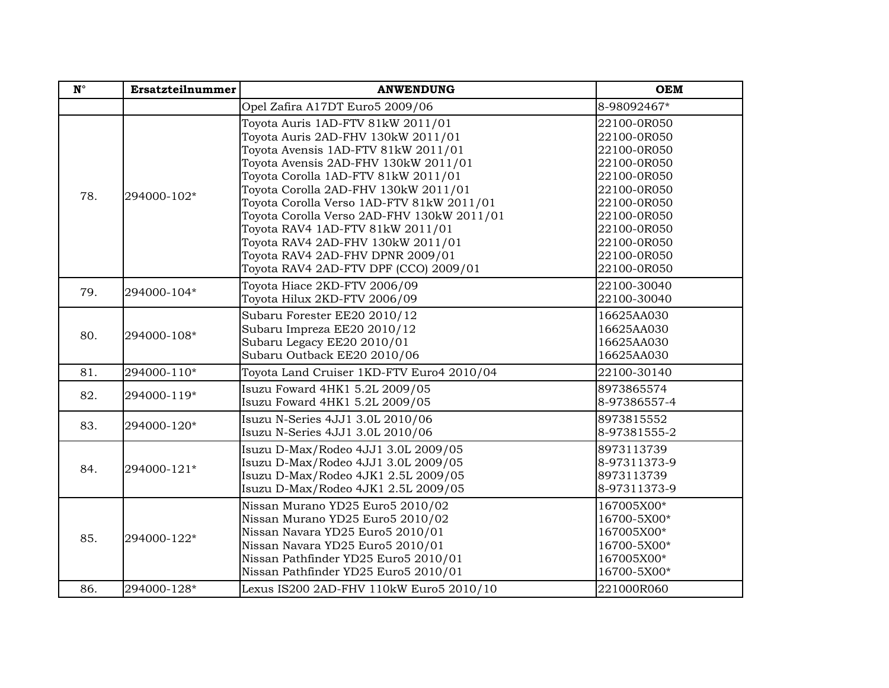| $\mathbf{N}^{\circ}$ | Ersatzteilnummer | <b>ANWENDUNG</b>                                                                                                                                                                                                                                                                                                                                                                                                                              | <b>OEM</b>                                                                                                                                                        |
|----------------------|------------------|-----------------------------------------------------------------------------------------------------------------------------------------------------------------------------------------------------------------------------------------------------------------------------------------------------------------------------------------------------------------------------------------------------------------------------------------------|-------------------------------------------------------------------------------------------------------------------------------------------------------------------|
|                      |                  | Opel Zafira A17DT Euro5 2009/06                                                                                                                                                                                                                                                                                                                                                                                                               | 8-98092467*                                                                                                                                                       |
| 78.                  | 294000-102*      | Toyota Auris 1AD-FTV 81kW 2011/01<br>Toyota Auris 2AD-FHV 130kW 2011/01<br>Toyota Avensis 1AD-FTV 81kW 2011/01<br>Toyota Avensis 2AD-FHV 130kW 2011/01<br>Toyota Corolla 1AD-FTV 81kW 2011/01<br>Toyota Corolla 2AD-FHV 130kW 2011/01<br>Toyota Corolla Verso 1AD-FTV 81kW 2011/01<br>Toyota Corolla Verso 2AD-FHV 130kW 2011/01<br>Toyota RAV4 1AD-FTV 81kW 2011/01<br>Toyota RAV4 2AD-FHV 130kW 2011/01<br>Toyota RAV4 2AD-FHV DPNR 2009/01 | 22100-0R050<br>22100-0R050<br>22100-0R050<br>22100-0R050<br>22100-0R050<br>22100-0R050<br>22100-0R050<br>22100-0R050<br>22100-0R050<br>22100-0R050<br>22100-0R050 |
|                      |                  | Toyota RAV4 2AD-FTV DPF (CCO) 2009/01                                                                                                                                                                                                                                                                                                                                                                                                         | 22100-0R050                                                                                                                                                       |
| 79.                  | 294000-104*      | Toyota Hiace 2KD-FTV 2006/09<br>Toyota Hilux 2KD-FTV 2006/09                                                                                                                                                                                                                                                                                                                                                                                  | 22100-30040<br>22100-30040                                                                                                                                        |
| 80.                  | 294000-108*      | Subaru Forester EE20 2010/12<br>Subaru Impreza EE20 2010/12<br>Subaru Legacy EE20 2010/01<br>Subaru Outback EE20 2010/06                                                                                                                                                                                                                                                                                                                      | 16625AA030<br>16625AA030<br>16625AA030<br>16625AA030                                                                                                              |
| 81.                  | 294000-110*      | Toyota Land Cruiser 1KD-FTV Euro4 2010/04                                                                                                                                                                                                                                                                                                                                                                                                     | 22100-30140                                                                                                                                                       |
| 82.                  | 294000-119*      | Isuzu Foward 4HK1 5.2L 2009/05<br>Isuzu Foward 4HK1 5.2L 2009/05                                                                                                                                                                                                                                                                                                                                                                              | 8973865574<br>8-97386557-4                                                                                                                                        |
| 83.                  | 294000-120*      | Isuzu N-Series 4JJ1 3.0L 2010/06<br>Isuzu N-Series 4JJ1 3.0L 2010/06                                                                                                                                                                                                                                                                                                                                                                          | 8973815552<br>8-97381555-2                                                                                                                                        |
| 84.                  | 294000-121*      | Isuzu D-Max/Rodeo 4JJ1 3.0L 2009/05<br>Isuzu D-Max/Rodeo 4JJ1 3.0L 2009/05<br>Isuzu D-Max/Rodeo 4JK1 2.5L 2009/05<br>Isuzu D-Max/Rodeo 4JK1 2.5L 2009/05                                                                                                                                                                                                                                                                                      | 8973113739<br>8-97311373-9<br>8973113739<br>8-97311373-9                                                                                                          |
| 85.                  | 294000-122*      | Nissan Murano YD25 Euro5 2010/02<br>Nissan Murano YD25 Euro5 2010/02<br>Nissan Navara YD25 Euro5 2010/01<br>Nissan Navara YD25 Euro5 2010/01<br>Nissan Pathfinder YD25 Euro5 2010/01<br>Nissan Pathfinder YD25 Euro5 2010/01                                                                                                                                                                                                                  | 167005X00*<br>16700-5X00*<br>167005X00*<br>16700-5X00*<br>167005X00*<br>16700-5X00*                                                                               |
| 86.                  | 294000-128*      | Lexus IS200 2AD-FHV 110kW Euro5 2010/10                                                                                                                                                                                                                                                                                                                                                                                                       | 221000R060                                                                                                                                                        |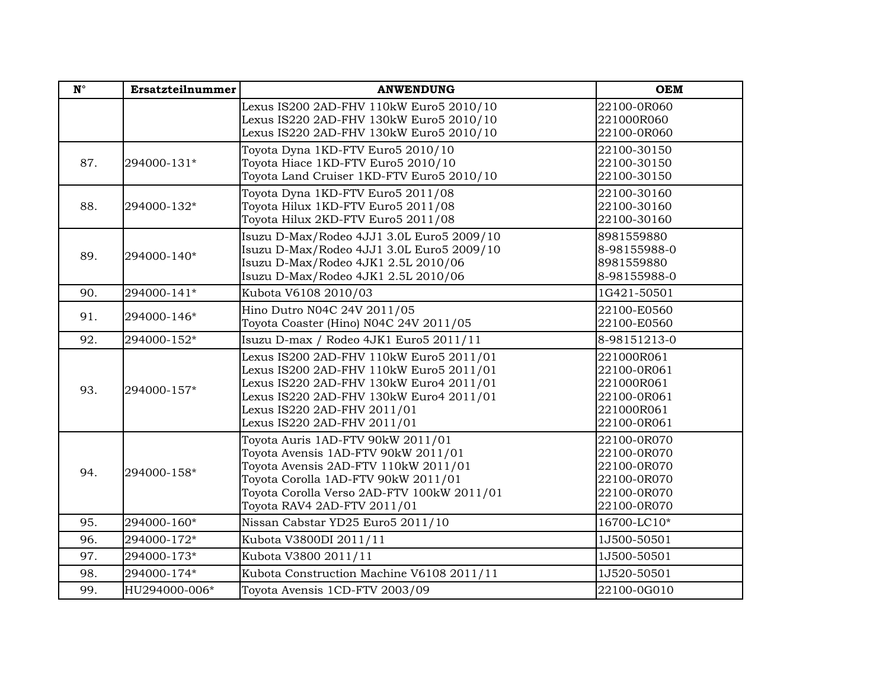| $N^{\circ}$ | Ersatzteilnummer | <b>ANWENDUNG</b>                           | <b>OEM</b>   |
|-------------|------------------|--------------------------------------------|--------------|
|             |                  | Lexus IS200 2AD-FHV 110kW Euro5 2010/10    | 22100-0R060  |
|             |                  | Lexus IS220 2AD-FHV 130kW Euro5 2010/10    | 221000R060   |
|             |                  | Lexus IS220 2AD-FHV 130kW Euro5 2010/10    | 22100-0R060  |
|             |                  | Toyota Dyna 1KD-FTV Euro5 2010/10          | 22100-30150  |
| 87.         | 294000-131*      | Toyota Hiace 1KD-FTV Euro5 2010/10         | 22100-30150  |
|             |                  | Toyota Land Cruiser 1KD-FTV Euro5 2010/10  | 22100-30150  |
|             |                  | Toyota Dyna 1KD-FTV Euro5 2011/08          | 22100-30160  |
| 88.         | 294000-132*      | Toyota Hilux 1KD-FTV Euro5 2011/08         | 22100-30160  |
|             |                  | Toyota Hilux 2KD-FTV Euro5 2011/08         | 22100-30160  |
|             |                  | Isuzu D-Max/Rodeo 4JJ1 3.0L Euro5 2009/10  | 8981559880   |
| 89.         | 294000-140*      | Isuzu D-Max/Rodeo 4JJ1 3.0L Euro5 2009/10  | 8-98155988-0 |
|             |                  | Isuzu D-Max/Rodeo 4JK1 2.5L 2010/06        | 8981559880   |
|             |                  | Isuzu D-Max/Rodeo 4JK1 2.5L 2010/06        | 8-98155988-0 |
| 90.         | 294000-141*      | Kubota V6108 2010/03                       | 1G421-50501  |
| 91.         | 294000-146*      | Hino Dutro N04C 24V 2011/05                | 22100-E0560  |
|             |                  | Toyota Coaster (Hino) N04C 24V 2011/05     | 22100-E0560  |
| 92.         | 294000-152*      | Isuzu D-max / Rodeo 4JK1 Euro5 2011/11     | 8-98151213-0 |
|             | 294000-157*      | Lexus IS200 2AD-FHV 110kW Euro5 2011/01    | 221000R061   |
|             |                  | Lexus IS200 2AD-FHV 110kW Euro5 2011/01    | 22100-0R061  |
| 93.         |                  | Lexus IS220 2AD-FHV 130kW Euro4 2011/01    | 221000R061   |
|             |                  | Lexus IS220 2AD-FHV 130kW Euro4 2011/01    | 22100-0R061  |
|             |                  | Lexus IS220 2AD-FHV 2011/01                | 221000R061   |
|             |                  | Lexus IS220 2AD-FHV 2011/01                | 22100-0R061  |
|             |                  | Toyota Auris 1AD-FTV 90kW 2011/01          | 22100-0R070  |
|             |                  | Toyota Avensis 1AD-FTV 90kW 2011/01        | 22100-0R070  |
| 94.         | 294000-158*      | Toyota Avensis 2AD-FTV 110kW 2011/01       | 22100-0R070  |
|             |                  | Toyota Corolla 1AD-FTV 90kW 2011/01        | 22100-0R070  |
|             |                  | Toyota Corolla Verso 2AD-FTV 100kW 2011/01 | 22100-0R070  |
|             |                  | Toyota RAV4 2AD-FTV 2011/01                | 22100-0R070  |
| 95.         | 294000-160*      | Nissan Cabstar YD25 Euro5 2011/10          | 16700-LC10*  |
| 96.         | 294000-172*      | Kubota V3800DI 2011/11                     | 1J500-50501  |
| 97.         | 294000-173*      | Kubota V3800 2011/11                       | 1J500-50501  |
| 98.         | 294000-174*      | Kubota Construction Machine V6108 2011/11  | 1J520-50501  |
| 99.         | HU294000-006*    | Toyota Avensis 1CD-FTV 2003/09             | 22100-0G010  |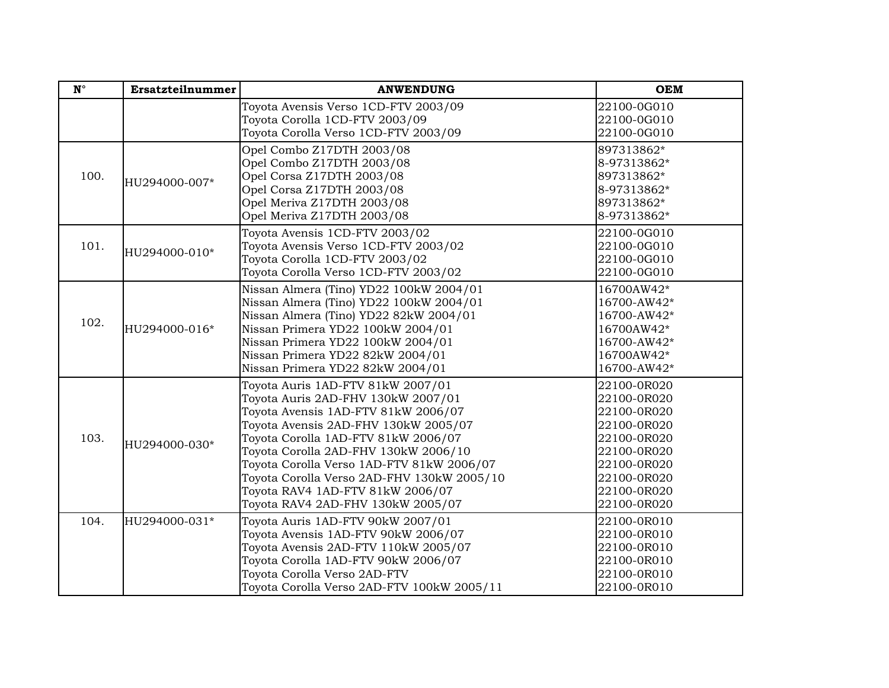| $\mathbf{N}^{\circ}$ | Ersatzteilnummer | <b>ANWENDUNG</b>                                                                                                                                                                                                                                                                                                                                                                                          | <b>OEM</b>                                                                                                                                         |
|----------------------|------------------|-----------------------------------------------------------------------------------------------------------------------------------------------------------------------------------------------------------------------------------------------------------------------------------------------------------------------------------------------------------------------------------------------------------|----------------------------------------------------------------------------------------------------------------------------------------------------|
|                      |                  | Toyota Avensis Verso 1CD-FTV 2003/09<br>Toyota Corolla 1CD-FTV 2003/09<br>Toyota Corolla Verso 1CD-FTV 2003/09                                                                                                                                                                                                                                                                                            | 22100-0G010<br>22100-0G010<br>22100-0G010                                                                                                          |
| 100.                 | HU294000-007*    | Opel Combo Z17DTH 2003/08<br>Opel Combo Z17DTH 2003/08<br>Opel Corsa Z17DTH 2003/08<br>Opel Corsa Z17DTH 2003/08<br>Opel Meriva Z17DTH 2003/08<br>Opel Meriva Z17DTH 2003/08                                                                                                                                                                                                                              | 897313862*<br>8-97313862*<br>897313862*<br>8-97313862*<br>897313862*<br>8-97313862*                                                                |
| 101.                 | HU294000-010*    | Toyota Avensis 1CD-FTV 2003/02<br>Toyota Avensis Verso 1CD-FTV 2003/02<br>Toyota Corolla 1CD-FTV 2003/02<br>Toyota Corolla Verso 1CD-FTV 2003/02                                                                                                                                                                                                                                                          | 22100-0G010<br>22100-0G010<br>22100-0G010<br>22100-0G010                                                                                           |
| 102.                 | HU294000-016*    | Nissan Almera (Tino) YD22 100kW 2004/01<br>Nissan Almera (Tino) YD22 100kW 2004/01<br>Nissan Almera (Tino) YD22 82kW 2004/01<br>Nissan Primera YD22 100kW 2004/01<br>Nissan Primera YD22 100kW 2004/01<br>Nissan Primera YD22 82kW 2004/01<br>Nissan Primera YD22 82kW 2004/01                                                                                                                            | 16700AW42*<br>16700-AW42*<br>16700-AW42*<br>16700AW42*<br>16700-AW42*<br>16700AW42*<br>16700-AW42*                                                 |
| 103.                 | HU294000-030*    | Toyota Auris 1AD-FTV 81kW 2007/01<br>Toyota Auris 2AD-FHV 130kW 2007/01<br>Toyota Avensis 1AD-FTV 81kW 2006/07<br>Toyota Avensis 2AD-FHV 130kW 2005/07<br>Toyota Corolla 1AD-FTV 81kW 2006/07<br>Toyota Corolla 2AD-FHV 130kW 2006/10<br>Toyota Corolla Verso 1AD-FTV 81kW 2006/07<br>Toyota Corolla Verso 2AD-FHV 130kW 2005/10<br>Toyota RAV4 1AD-FTV 81kW 2006/07<br>Toyota RAV4 2AD-FHV 130kW 2005/07 | 22100-0R020<br>22100-0R020<br>22100-0R020<br>22100-0R020<br>22100-0R020<br>22100-0R020<br>22100-0R020<br>22100-0R020<br>22100-0R020<br>22100-0R020 |
| 104.                 | HU294000-031*    | Toyota Auris 1AD-FTV 90kW 2007/01<br>Toyota Avensis 1AD-FTV 90kW 2006/07<br>Toyota Avensis 2AD-FTV 110kW 2005/07<br>Toyota Corolla 1AD-FTV 90kW 2006/07<br>Toyota Corolla Verso 2AD-FTV<br>Toyota Corolla Verso 2AD-FTV 100kW 2005/11                                                                                                                                                                     | 22100-0R010<br>22100-0R010<br>22100-0R010<br>22100-0R010<br>22100-0R010<br>22100-0R010                                                             |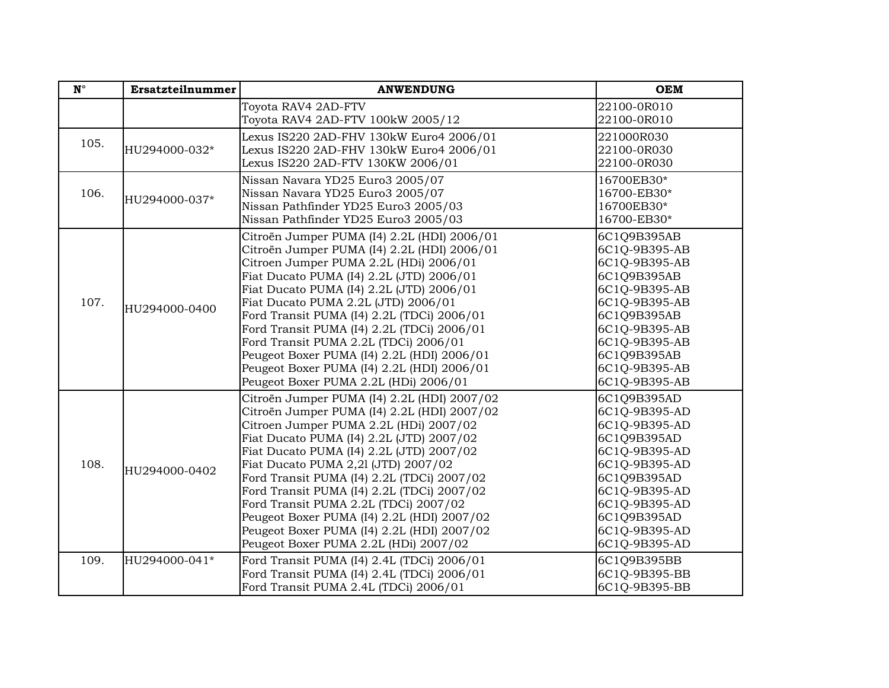| $\mathbf{N}^{\circ}$ | <b>Ersatzteilnummer</b> | <b>ANWENDUNG</b>                                                                                                                                                                                                                                                                                                                                                                                                                                                                                                                              | <b>OEM</b>                                                                                                                                                                                       |
|----------------------|-------------------------|-----------------------------------------------------------------------------------------------------------------------------------------------------------------------------------------------------------------------------------------------------------------------------------------------------------------------------------------------------------------------------------------------------------------------------------------------------------------------------------------------------------------------------------------------|--------------------------------------------------------------------------------------------------------------------------------------------------------------------------------------------------|
|                      |                         | Toyota RAV4 2AD-FTV<br>Toyota RAV4 2AD-FTV 100kW 2005/12                                                                                                                                                                                                                                                                                                                                                                                                                                                                                      | 22100-0R010<br>22100-0R010                                                                                                                                                                       |
| 105.                 | HU294000-032*           | Lexus IS220 2AD-FHV 130kW Euro4 2006/01<br>Lexus IS220 2AD-FHV 130kW Euro4 2006/01<br>Lexus IS220 2AD-FTV 130KW 2006/01                                                                                                                                                                                                                                                                                                                                                                                                                       | 221000R030<br>22100-0R030<br>22100-0R030                                                                                                                                                         |
| 106.                 | HU294000-037*           | Nissan Navara YD25 Euro3 2005/07<br>Nissan Navara YD25 Euro3 2005/07<br>Nissan Pathfinder YD25 Euro3 2005/03<br>Nissan Pathfinder YD25 Euro3 2005/03                                                                                                                                                                                                                                                                                                                                                                                          | 16700EB30*<br>16700-EB30*<br>16700EB30*<br>16700-EB30*                                                                                                                                           |
| 107.                 | HU294000-0400           | Citroën Jumper PUMA (I4) 2.2L (HDI) 2006/01<br>Citroën Jumper PUMA (I4) 2.2L (HDI) 2006/01<br>Citroen Jumper PUMA 2.2L (HDi) 2006/01<br>Fiat Ducato PUMA (I4) 2.2L (JTD) 2006/01<br>Fiat Ducato PUMA (I4) 2.2L (JTD) 2006/01<br>Fiat Ducato PUMA 2.2L (JTD) 2006/01<br>Ford Transit PUMA (I4) 2.2L (TDCi) 2006/01<br>Ford Transit PUMA (I4) 2.2L (TDCi) 2006/01<br>Ford Transit PUMA 2.2L (TDCi) 2006/01<br>Peugeot Boxer PUMA (I4) 2.2L (HDI) 2006/01<br>Peugeot Boxer PUMA (I4) 2.2L (HDI) 2006/01<br>Peugeot Boxer PUMA 2.2L (HDi) 2006/01 | 6C1Q9B395AB<br>6C1Q-9B395-AB<br>6C1Q-9B395-AB<br>6C1Q9B395AB<br>6C1Q-9B395-AB<br>6C1Q-9B395-AB<br>6C1Q9B395AB<br>6C1Q-9B395-AB<br>6C1Q-9B395-AB<br>6C1Q9B395AB<br>6C1Q-9B395-AB<br>6C1Q-9B395-AB |
| 108.                 | HU294000-0402           | Citroën Jumper PUMA (I4) 2.2L (HDI) 2007/02<br>Citroën Jumper PUMA (I4) 2.2L (HDI) 2007/02<br>Citroen Jumper PUMA 2.2L (HDi) 2007/02<br>Fiat Ducato PUMA (I4) 2.2L (JTD) 2007/02<br>Fiat Ducato PUMA (I4) 2.2L (JTD) 2007/02<br>Fiat Ducato PUMA 2,21 (JTD) 2007/02<br>Ford Transit PUMA (I4) 2.2L (TDCi) 2007/02<br>Ford Transit PUMA (I4) 2.2L (TDCi) 2007/02<br>Ford Transit PUMA 2.2L (TDCi) 2007/02<br>Peugeot Boxer PUMA (I4) 2.2L (HDI) 2007/02<br>Peugeot Boxer PUMA (I4) 2.2L (HDI) 2007/02<br>Peugeot Boxer PUMA 2.2L (HDi) 2007/02 | 6C1Q9B395AD<br>6C1Q-9B395-AD<br>6C1Q-9B395-AD<br>6C1Q9B395AD<br>6C1Q-9B395-AD<br>6C1Q-9B395-AD<br>6C1Q9B395AD<br>6C1Q-9B395-AD<br>6C1Q-9B395-AD<br>6C1Q9B395AD<br>6C1Q-9B395-AD<br>6C1Q-9B395-AD |
| 109.                 | HU294000-041*           | Ford Transit PUMA (I4) 2.4L (TDCi) 2006/01<br>Ford Transit PUMA (I4) 2.4L (TDCi) 2006/01<br>Ford Transit PUMA 2.4L (TDCi) 2006/01                                                                                                                                                                                                                                                                                                                                                                                                             | 6C1Q9B395BB<br>6C1Q-9B395-BB<br>6C1Q-9B395-BB                                                                                                                                                    |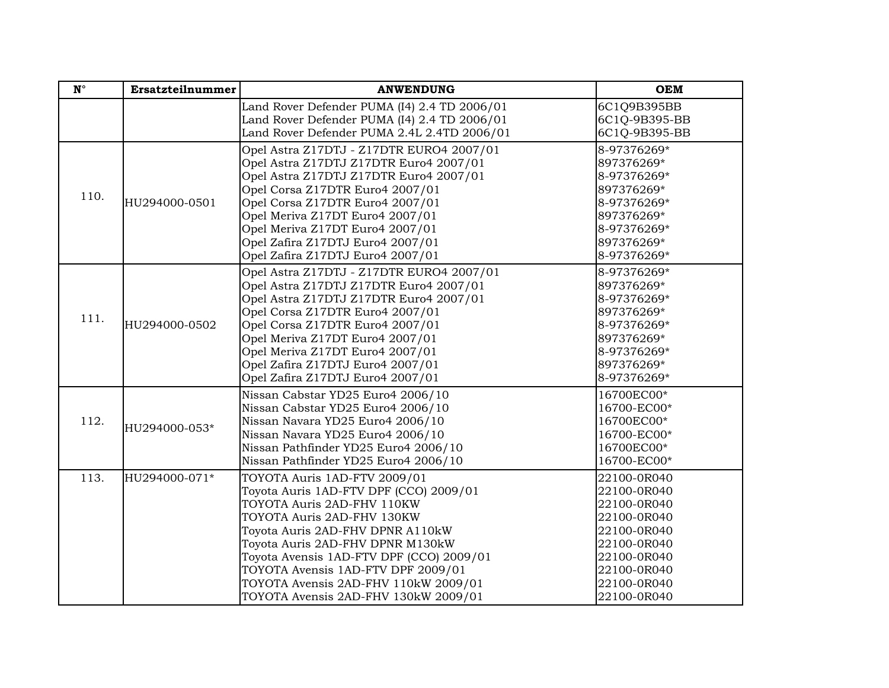| $\mathbf{N}^{\circ}$ | Ersatzteilnummer | <b>ANWENDUNG</b>                                                                                                                                                                                                                                                                                                                                                             | <b>OEM</b>                                                                                                                                         |
|----------------------|------------------|------------------------------------------------------------------------------------------------------------------------------------------------------------------------------------------------------------------------------------------------------------------------------------------------------------------------------------------------------------------------------|----------------------------------------------------------------------------------------------------------------------------------------------------|
|                      |                  | Land Rover Defender PUMA (I4) 2.4 TD 2006/01<br>Land Rover Defender PUMA (I4) 2.4 TD 2006/01<br>Land Rover Defender PUMA 2.4L 2.4TD 2006/01                                                                                                                                                                                                                                  | 6C1Q9B395BB<br>6C1Q-9B395-BB<br>6C1Q-9B395-BB                                                                                                      |
| 110.                 | HU294000-0501    | Opel Astra Z17DTJ - Z17DTR EURO4 2007/01<br>Opel Astra Z17DTJ Z17DTR Euro4 2007/01<br>Opel Astra Z17DTJ Z17DTR Euro4 2007/01<br>Opel Corsa Z17DTR Euro4 2007/01<br>Opel Corsa Z17DTR Euro4 2007/01<br>Opel Meriva Z17DT Euro4 2007/01<br>Opel Meriva Z17DT Euro4 2007/01<br>Opel Zafira Z17DTJ Euro4 2007/01<br>Opel Zafira Z17DTJ Euro4 2007/01                             | 8-97376269*<br>897376269*<br>8-97376269*<br>897376269*<br>8-97376269*<br>897376269*<br>8-97376269*<br>897376269*<br>8-97376269*                    |
| 111.                 | HU294000-0502    | Opel Astra Z17DTJ - Z17DTR EURO4 2007/01<br>Opel Astra Z17DTJ Z17DTR Euro4 2007/01<br>Opel Astra Z17DTJ Z17DTR Euro4 2007/01<br>Opel Corsa Z17DTR Euro4 2007/01<br>Opel Corsa Z17DTR Euro4 2007/01<br>Opel Meriva Z17DT Euro4 2007/01<br>Opel Meriva Z17DT Euro4 2007/01<br>Opel Zafira Z17DTJ Euro4 2007/01<br>Opel Zafira Z17DTJ Euro4 2007/01                             | 8-97376269*<br>897376269*<br>8-97376269*<br>897376269*<br>8-97376269*<br>897376269*<br>8-97376269*<br>897376269*<br>8-97376269*                    |
| 112.                 | HU294000-053*    | Nissan Cabstar YD25 Euro4 2006/10<br>Nissan Cabstar YD25 Euro4 2006/10<br>Nissan Navara YD25 Euro4 2006/10<br>Nissan Navara YD25 Euro4 2006/10<br>Nissan Pathfinder YD25 Euro4 2006/10<br>Nissan Pathfinder YD25 Euro4 2006/10                                                                                                                                               | 16700EC00*<br>16700-EC00*<br>16700EC00*<br>16700-EC00*<br>16700EC00*<br>16700-EC00*                                                                |
| 113.                 | HU294000-071*    | TOYOTA Auris 1AD-FTV 2009/01<br>Toyota Auris 1AD-FTV DPF (CCO) 2009/01<br>TOYOTA Auris 2AD-FHV 110KW<br>TOYOTA Auris 2AD-FHV 130KW<br>Toyota Auris 2AD-FHV DPNR A110kW<br>Toyota Auris 2AD-FHV DPNR M130kW<br>Toyota Avensis 1AD-FTV DPF (CCO) 2009/01<br>TOYOTA Avensis 1AD-FTV DPF 2009/01<br>TOYOTA Avensis 2AD-FHV 110kW 2009/01<br>TOYOTA Avensis 2AD-FHV 130kW 2009/01 | 22100-0R040<br>22100-0R040<br>22100-0R040<br>22100-0R040<br>22100-0R040<br>22100-0R040<br>22100-0R040<br>22100-0R040<br>22100-0R040<br>22100-0R040 |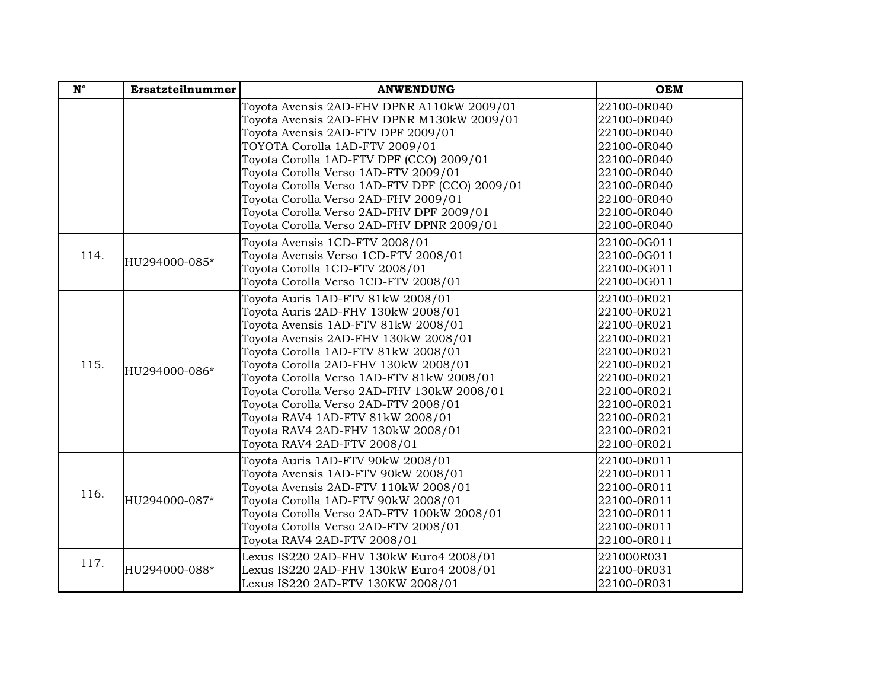| $\mathbf{N}^{\circ}$ | Ersatzteilnummer | <b>ANWENDUNG</b>                               | <b>OEM</b>  |
|----------------------|------------------|------------------------------------------------|-------------|
|                      |                  | Toyota Avensis 2AD-FHV DPNR A110kW 2009/01     | 22100-0R040 |
|                      |                  | Toyota Avensis 2AD-FHV DPNR M130kW 2009/01     | 22100-0R040 |
|                      |                  | Toyota Avensis 2AD-FTV DPF 2009/01             | 22100-0R040 |
|                      |                  | TOYOTA Corolla 1AD-FTV 2009/01                 | 22100-0R040 |
|                      |                  | Toyota Corolla 1AD-FTV DPF (CCO) 2009/01       | 22100-0R040 |
|                      |                  | Toyota Corolla Verso 1AD-FTV 2009/01           | 22100-0R040 |
|                      |                  | Toyota Corolla Verso 1AD-FTV DPF (CCO) 2009/01 | 22100-0R040 |
|                      |                  | Toyota Corolla Verso 2AD-FHV 2009/01           | 22100-0R040 |
|                      |                  | Toyota Corolla Verso 2AD-FHV DPF 2009/01       | 22100-0R040 |
|                      |                  | Toyota Corolla Verso 2AD-FHV DPNR 2009/01      | 22100-0R040 |
|                      |                  | Toyota Avensis 1CD-FTV 2008/01                 | 22100-0G011 |
| 114.                 | HU294000-085*    | Toyota Avensis Verso 1CD-FTV 2008/01           | 22100-0G011 |
|                      |                  | Toyota Corolla 1CD-FTV 2008/01                 | 22100-0G011 |
|                      |                  | Toyota Corolla Verso 1CD-FTV 2008/01           | 22100-0G011 |
|                      |                  | Toyota Auris 1AD-FTV 81kW 2008/01              | 22100-0R021 |
|                      |                  | Toyota Auris 2AD-FHV 130kW 2008/01             | 22100-0R021 |
|                      |                  | Toyota Avensis 1AD-FTV 81kW 2008/01            | 22100-0R021 |
|                      | HU294000-086*    | Toyota Avensis 2AD-FHV 130kW 2008/01           | 22100-0R021 |
|                      |                  | Toyota Corolla 1AD-FTV 81kW 2008/01            | 22100-0R021 |
| 115.                 |                  | Toyota Corolla 2AD-FHV 130kW 2008/01           | 22100-0R021 |
|                      |                  | Toyota Corolla Verso 1AD-FTV 81kW 2008/01      | 22100-0R021 |
|                      |                  | Toyota Corolla Verso 2AD-FHV 130kW 2008/01     | 22100-0R021 |
|                      |                  | Toyota Corolla Verso 2AD-FTV 2008/01           | 22100-0R021 |
|                      |                  | Toyota RAV4 1AD-FTV 81kW 2008/01               | 22100-0R021 |
|                      |                  | Toyota RAV4 2AD-FHV 130kW 2008/01              | 22100-0R021 |
|                      |                  | Toyota RAV4 2AD-FTV 2008/01                    | 22100-0R021 |
|                      |                  | Toyota Auris 1AD-FTV 90kW 2008/01              | 22100-0R011 |
|                      |                  | Toyota Avensis 1AD-FTV 90kW 2008/01            | 22100-0R011 |
| 116.                 |                  | Toyota Avensis 2AD-FTV 110kW 2008/01           | 22100-0R011 |
|                      | HU294000-087*    | Toyota Corolla 1AD-FTV 90kW 2008/01            | 22100-0R011 |
|                      |                  | Toyota Corolla Verso 2AD-FTV 100kW 2008/01     | 22100-0R011 |
|                      |                  | Toyota Corolla Verso 2AD-FTV 2008/01           | 22100-0R011 |
|                      |                  | Toyota RAV4 2AD-FTV 2008/01                    | 22100-0R011 |
| 117.                 |                  | Lexus IS220 2AD-FHV 130kW Euro4 2008/01        | 221000R031  |
|                      | HU294000-088*    | Lexus IS220 2AD-FHV 130kW Euro4 2008/01        | 22100-0R031 |
|                      |                  | Lexus IS220 2AD-FTV 130KW 2008/01              | 22100-0R031 |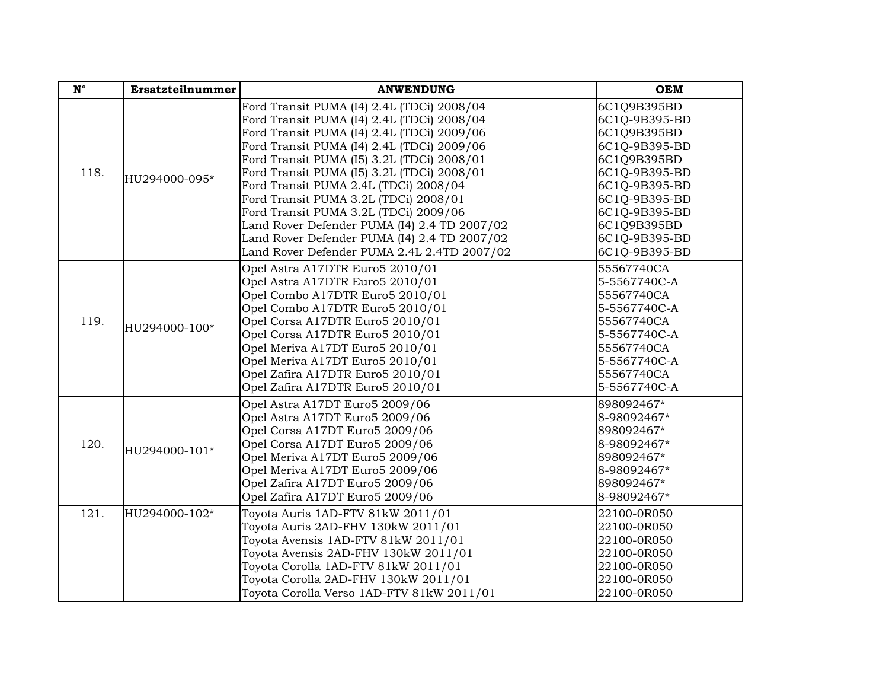| $\mathbf{N}^\circ$ | Ersatzteilnummer | <b>ANWENDUNG</b>                                                                                                                                                                                                                                                                                                                                                                                                                                                                                                                                           | <b>OEM</b>                                                                                                                                                                                       |
|--------------------|------------------|------------------------------------------------------------------------------------------------------------------------------------------------------------------------------------------------------------------------------------------------------------------------------------------------------------------------------------------------------------------------------------------------------------------------------------------------------------------------------------------------------------------------------------------------------------|--------------------------------------------------------------------------------------------------------------------------------------------------------------------------------------------------|
| 118.               | HU294000-095*    | Ford Transit PUMA (I4) 2.4L (TDCi) 2008/04<br>Ford Transit PUMA (I4) 2.4L (TDCi) 2008/04<br>Ford Transit PUMA (I4) 2.4L (TDCi) 2009/06<br>Ford Transit PUMA (I4) 2.4L (TDCi) 2009/06<br>Ford Transit PUMA (I5) 3.2L (TDCi) 2008/01<br>Ford Transit PUMA (I5) 3.2L (TDCi) 2008/01<br>Ford Transit PUMA 2.4L (TDCi) 2008/04<br>Ford Transit PUMA 3.2L (TDCi) 2008/01<br>Ford Transit PUMA 3.2L (TDCi) 2009/06<br>Land Rover Defender PUMA (I4) 2.4 TD 2007/02<br>Land Rover Defender PUMA (I4) 2.4 TD 2007/02<br>Land Rover Defender PUMA 2.4L 2.4TD 2007/02 | 6C1Q9B395BD<br>6C1Q-9B395-BD<br>6C1Q9B395BD<br>6C1Q-9B395-BD<br>6C1Q9B395BD<br>6C1Q-9B395-BD<br>6C1Q-9B395-BD<br>6C1Q-9B395-BD<br>6C1Q-9B395-BD<br>6C1Q9B395BD<br>6C1Q-9B395-BD<br>6C1Q-9B395-BD |
| 119.               | HU294000-100*    | Opel Astra A17DTR Euro5 2010/01<br>Opel Astra A17DTR Euro5 2010/01<br>Opel Combo A17DTR Euro5 2010/01<br>Opel Combo A17DTR Euro5 2010/01<br>Opel Corsa A17DTR Euro5 2010/01<br>Opel Corsa A17DTR Euro5 2010/01<br>Opel Meriva A17DT Euro5 2010/01<br>Opel Meriva A17DT Euro5 2010/01<br>Opel Zafira A17DTR Euro5 2010/01<br>Opel Zafira A17DTR Euro5 2010/01                                                                                                                                                                                               | 55567740CA<br>5-5567740C-A<br>55567740CA<br>5-5567740C-A<br>55567740CA<br>5-5567740C-A<br>55567740CA<br>5-5567740C-A<br>55567740CA<br>5-5567740C-A                                               |
| 120.               | HU294000-101*    | Opel Astra A17DT Euro5 2009/06<br>Opel Astra A17DT Euro5 2009/06<br>Opel Corsa A17DT Euro5 2009/06<br>Opel Corsa A17DT Euro5 2009/06<br>Opel Meriva A17DT Euro5 2009/06<br>Opel Meriva A17DT Euro5 2009/06<br>Opel Zafira A17DT Euro5 2009/06<br>Opel Zafira A17DT Euro5 2009/06                                                                                                                                                                                                                                                                           | 898092467*<br>8-98092467*<br>898092467*<br>8-98092467*<br>898092467*<br>8-98092467*<br>898092467*<br>8-98092467*                                                                                 |
| 121.               | HU294000-102*    | Toyota Auris 1AD-FTV 81kW 2011/01<br>Toyota Auris 2AD-FHV 130kW 2011/01<br>Toyota Avensis 1AD-FTV 81kW 2011/01<br>Toyota Avensis 2AD-FHV 130kW 2011/01<br>Toyota Corolla 1AD-FTV 81kW 2011/01<br>Toyota Corolla 2AD-FHV 130kW 2011/01<br>Toyota Corolla Verso 1AD-FTV 81kW 2011/01                                                                                                                                                                                                                                                                         | 22100-0R050<br>22100-0R050<br>22100-0R050<br>22100-0R050<br>22100-0R050<br>22100-0R050<br>22100-0R050                                                                                            |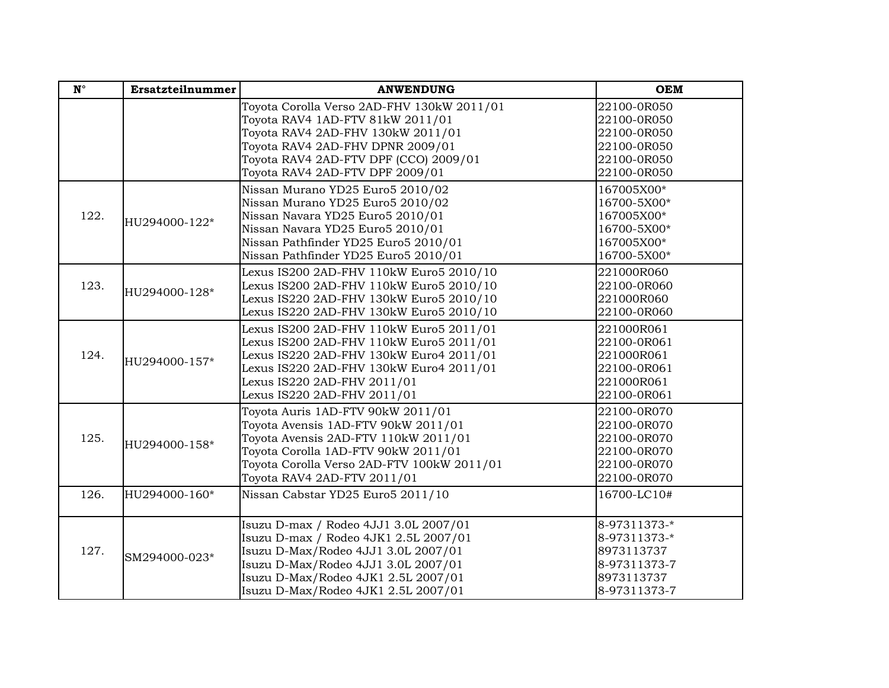| $\mathbf{N}^{\circ}$ | Ersatzteilnummer | <b>ANWENDUNG</b>                                                                                                                                                                                                                           | <b>OEM</b>                                                                               |
|----------------------|------------------|--------------------------------------------------------------------------------------------------------------------------------------------------------------------------------------------------------------------------------------------|------------------------------------------------------------------------------------------|
|                      |                  | Toyota Corolla Verso 2AD-FHV 130kW 2011/01<br>Toyota RAV4 1AD-FTV 81kW 2011/01<br>Toyota RAV4 2AD-FHV 130kW 2011/01<br>Toyota RAV4 2AD-FHV DPNR 2009/01<br>Toyota RAV4 2AD-FTV DPF (CCO) 2009/01<br>Toyota RAV4 2AD-FTV DPF 2009/01        | 22100-0R050<br>22100-0R050<br>22100-0R050<br>22100-0R050<br>22100-0R050<br>22100-0R050   |
| 122.                 | HU294000-122*    | Nissan Murano YD25 Euro5 2010/02<br>Nissan Murano YD25 Euro5 2010/02<br>Nissan Navara YD25 Euro5 2010/01<br>Nissan Navara YD25 Euro5 2010/01<br>Nissan Pathfinder YD25 Euro5 2010/01<br>Nissan Pathfinder YD25 Euro5 2010/01               | 167005X00*<br>16700-5X00*<br>167005X00*<br>16700-5X00*<br>167005X00*<br>16700-5X00*      |
| 123.                 | HU294000-128*    | Lexus IS200 2AD-FHV 110kW Euro5 2010/10<br>Lexus IS200 2AD-FHV 110kW Euro5 2010/10<br>Lexus IS220 2AD-FHV 130kW Euro5 2010/10<br>Lexus IS220 2AD-FHV 130kW Euro5 2010/10                                                                   | 221000R060<br>22100-0R060<br>221000R060<br>22100-0R060                                   |
| 124.                 | HU294000-157*    | Lexus IS200 2AD-FHV 110kW Euro5 2011/01<br>Lexus IS200 2AD-FHV 110kW Euro5 2011/01<br>Lexus IS220 2AD-FHV 130kW Euro4 2011/01<br>Lexus IS220 2AD-FHV 130kW Euro4 2011/01<br>Lexus IS220 2AD-FHV 2011/01<br>Lexus IS220 2AD-FHV 2011/01     | 221000R061<br>22100-0R061<br>221000R061<br>22100-0R061<br>221000R061<br>22100-0R061      |
| 125.                 | HU294000-158*    | Toyota Auris 1AD-FTV 90kW 2011/01<br>Toyota Avensis 1AD-FTV 90kW 2011/01<br>Toyota Avensis 2AD-FTV 110kW 2011/01<br>Toyota Corolla 1AD-FTV 90kW 2011/01<br>Toyota Corolla Verso 2AD-FTV 100kW 2011/01<br>Toyota RAV4 2AD-FTV 2011/01       | 22100-0R070<br>22100-0R070<br>22100-0R070<br>22100-0R070<br>22100-0R070<br>22100-0R070   |
| 126.                 | HU294000-160*    | Nissan Cabstar YD25 Euro5 2011/10                                                                                                                                                                                                          | 16700-LC10#                                                                              |
| 127.                 | SM294000-023*    | Isuzu D-max / Rodeo 4JJ1 3.0L 2007/01<br>Isuzu D-max / Rodeo 4JK1 2.5L 2007/01<br>Isuzu D-Max/Rodeo 4JJ1 3.0L 2007/01<br>Isuzu D-Max/Rodeo 4JJ1 3.0L 2007/01<br>Isuzu D-Max/Rodeo 4JK1 2.5L 2007/01<br>Isuzu D-Max/Rodeo 4JK1 2.5L 2007/01 | 8-97311373-*<br>8-97311373-*<br>8973113737<br>8-97311373-7<br>8973113737<br>8-97311373-7 |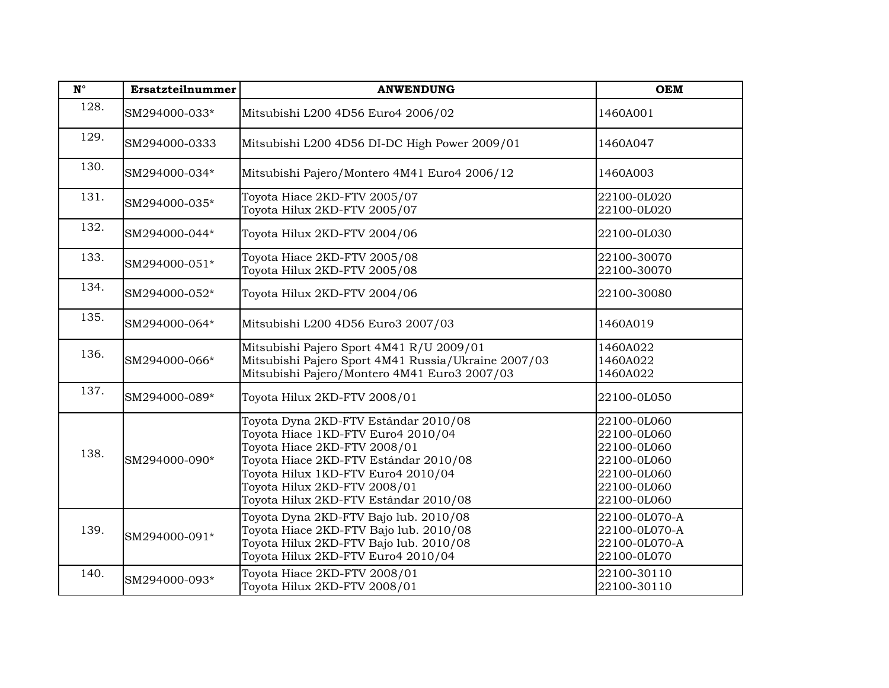| $\mathbf{N}^{\circ}$ | Ersatzteilnummer | <b>ANWENDUNG</b>                                                                                                                                                                                                                                                   | <b>OEM</b>                                                                                            |
|----------------------|------------------|--------------------------------------------------------------------------------------------------------------------------------------------------------------------------------------------------------------------------------------------------------------------|-------------------------------------------------------------------------------------------------------|
| 128.                 | SM294000-033*    | Mitsubishi L200 4D56 Euro4 2006/02                                                                                                                                                                                                                                 | 1460A001                                                                                              |
| 129.                 | SM294000-0333    | Mitsubishi L200 4D56 DI-DC High Power 2009/01                                                                                                                                                                                                                      | 1460A047                                                                                              |
| 130.                 | SM294000-034*    | Mitsubishi Pajero/Montero 4M41 Euro4 2006/12                                                                                                                                                                                                                       | 1460A003                                                                                              |
| 131.                 | SM294000-035*    | Toyota Hiace 2KD-FTV 2005/07<br>Toyota Hilux 2KD-FTV 2005/07                                                                                                                                                                                                       | 22100-0L020<br>22100-0L020                                                                            |
| 132.                 | SM294000-044*    | Toyota Hilux 2KD-FTV 2004/06                                                                                                                                                                                                                                       | 22100-0L030                                                                                           |
| 133.                 | SM294000-051*    | Toyota Hiace 2KD-FTV 2005/08<br>Toyota Hilux 2KD-FTV 2005/08                                                                                                                                                                                                       | 22100-30070<br>22100-30070                                                                            |
| 134.                 | SM294000-052*    | Toyota Hilux 2KD-FTV 2004/06                                                                                                                                                                                                                                       | 22100-30080                                                                                           |
| 135.                 | SM294000-064*    | Mitsubishi L200 4D56 Euro3 2007/03                                                                                                                                                                                                                                 | 1460A019                                                                                              |
| 136.                 | SM294000-066*    | Mitsubishi Pajero Sport 4M41 R/U 2009/01<br>Mitsubishi Pajero Sport 4M41 Russia/Ukraine 2007/03<br>Mitsubishi Pajero/Montero 4M41 Euro3 2007/03                                                                                                                    | 1460A022<br>1460A022<br>1460A022                                                                      |
| 137.                 | SM294000-089*    | Toyota Hilux 2KD-FTV 2008/01                                                                                                                                                                                                                                       | 22100-0L050                                                                                           |
| 138.                 | SM294000-090*    | Toyota Dyna 2KD-FTV Estándar 2010/08<br>Toyota Hiace 1KD-FTV Euro4 2010/04<br>Toyota Hiace 2KD-FTV 2008/01<br>Toyota Hiace 2KD-FTV Estándar 2010/08<br>Toyota Hilux 1KD-FTV Euro4 2010/04<br>Toyota Hilux 2KD-FTV 2008/01<br>Toyota Hilux 2KD-FTV Estándar 2010/08 | 22100-0L060<br>22100-0L060<br>22100-0L060<br>22100-0L060<br>22100-0L060<br>22100-0L060<br>22100-0L060 |
| 139.                 | SM294000-091*    | Toyota Dyna 2KD-FTV Bajo lub. 2010/08<br>Toyota Hiace 2KD-FTV Bajo lub. 2010/08<br>Toyota Hilux 2KD-FTV Bajo lub. 2010/08<br>Toyota Hilux 2KD-FTV Euro4 2010/04                                                                                                    | 22100-0L070-A<br>22100-0L070-A<br>22100-0L070-A<br>22100-0L070                                        |
| 140.                 | SM294000-093*    | Toyota Hiace 2KD-FTV 2008/01<br>Toyota Hilux 2KD-FTV 2008/01                                                                                                                                                                                                       | 22100-30110<br>22100-30110                                                                            |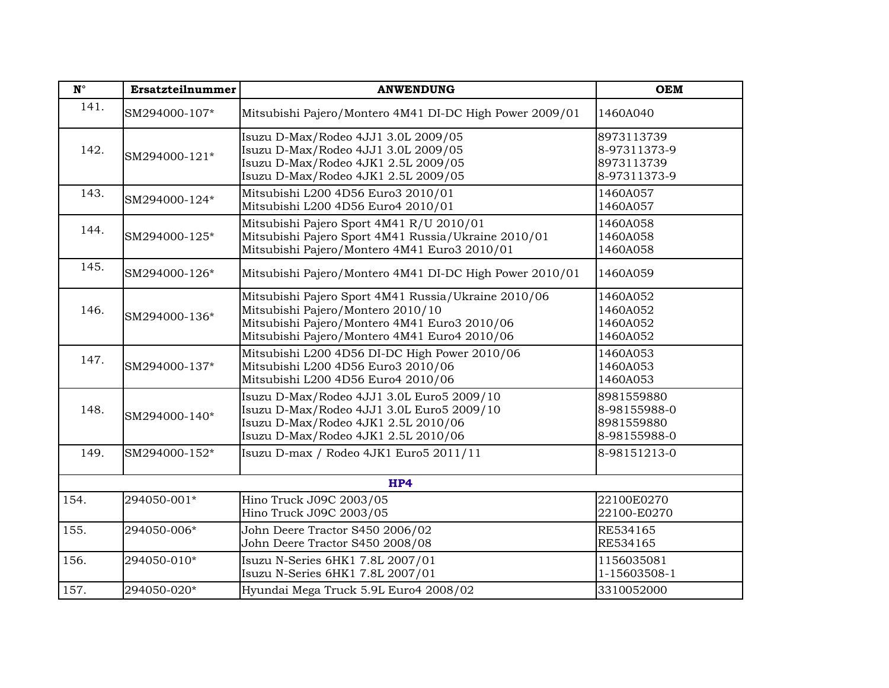| $\mathbf{N}^{\circ}$ | Ersatzteilnummer | <b>ANWENDUNG</b>                                                                                                                                                                         | <b>OEM</b>                                               |  |  |
|----------------------|------------------|------------------------------------------------------------------------------------------------------------------------------------------------------------------------------------------|----------------------------------------------------------|--|--|
| 141.                 | SM294000-107*    | Mitsubishi Pajero/Montero 4M41 DI-DC High Power 2009/01                                                                                                                                  | 1460A040                                                 |  |  |
| 142.                 | SM294000-121*    | Isuzu D-Max/Rodeo 4JJ1 3.0L 2009/05<br>Isuzu D-Max/Rodeo 4JJ1 3.0L 2009/05<br>Isuzu D-Max/Rodeo 4JK1 2.5L 2009/05<br>Isuzu D-Max/Rodeo 4JK1 2.5L 2009/05                                 | 8973113739<br>8-97311373-9<br>8973113739<br>8-97311373-9 |  |  |
| 143.                 | SM294000-124*    | Mitsubishi L200 4D56 Euro3 2010/01<br>Mitsubishi L200 4D56 Euro4 2010/01                                                                                                                 | 1460A057<br>1460A057                                     |  |  |
| 144.                 | SM294000-125*    | Mitsubishi Pajero Sport 4M41 R/U 2010/01<br>Mitsubishi Pajero Sport 4M41 Russia/Ukraine 2010/01<br>Mitsubishi Pajero/Montero 4M41 Euro3 2010/01                                          | 1460A058<br>1460A058<br>1460A058                         |  |  |
| 145.                 | SM294000-126*    | Mitsubishi Pajero/Montero 4M41 DI-DC High Power 2010/01                                                                                                                                  | 1460A059                                                 |  |  |
| 146.                 | SM294000-136*    | Mitsubishi Pajero Sport 4M41 Russia/Ukraine 2010/06<br>Mitsubishi Pajero/Montero 2010/10<br>Mitsubishi Pajero/Montero 4M41 Euro3 2010/06<br>Mitsubishi Pajero/Montero 4M41 Euro4 2010/06 | 1460A052<br>1460A052<br>1460A052<br>1460A052             |  |  |
| 147.                 | SM294000-137*    | Mitsubishi L200 4D56 DI-DC High Power 2010/06<br>Mitsubishi L200 4D56 Euro3 2010/06<br>Mitsubishi L200 4D56 Euro4 2010/06                                                                | 1460A053<br>1460A053<br>1460A053                         |  |  |
| 148.                 | SM294000-140*    | Isuzu D-Max/Rodeo 4JJ1 3.0L Euro5 2009/10<br>Isuzu D-Max/Rodeo 4JJ1 3.0L Euro5 2009/10<br>Isuzu D-Max/Rodeo 4JK1 2.5L 2010/06<br>Isuzu D-Max/Rodeo 4JK1 2.5L 2010/06                     | 8981559880<br>8-98155988-0<br>8981559880<br>8-98155988-0 |  |  |
| 149.                 | SM294000-152*    | Isuzu D-max / Rodeo 4JK1 Euro5 2011/11                                                                                                                                                   | 8-98151213-0                                             |  |  |
|                      | HP4              |                                                                                                                                                                                          |                                                          |  |  |
| 154.                 | 294050-001*      | Hino Truck J09C 2003/05<br>Hino Truck J09C 2003/05                                                                                                                                       | 22100E0270<br>22100-E0270                                |  |  |
| 155.                 | 294050-006*      | John Deere Tractor S450 2006/02<br>John Deere Tractor S450 2008/08                                                                                                                       | RE534165<br>RE534165                                     |  |  |
| 156.                 | 294050-010*      | Isuzu N-Series 6HK1 7.8L 2007/01<br>Isuzu N-Series 6HK1 7.8L 2007/01                                                                                                                     | 1156035081<br>1-15603508-1                               |  |  |
| 157.                 | 294050-020*      | Hyundai Mega Truck 5.9L Euro4 2008/02                                                                                                                                                    | 3310052000                                               |  |  |